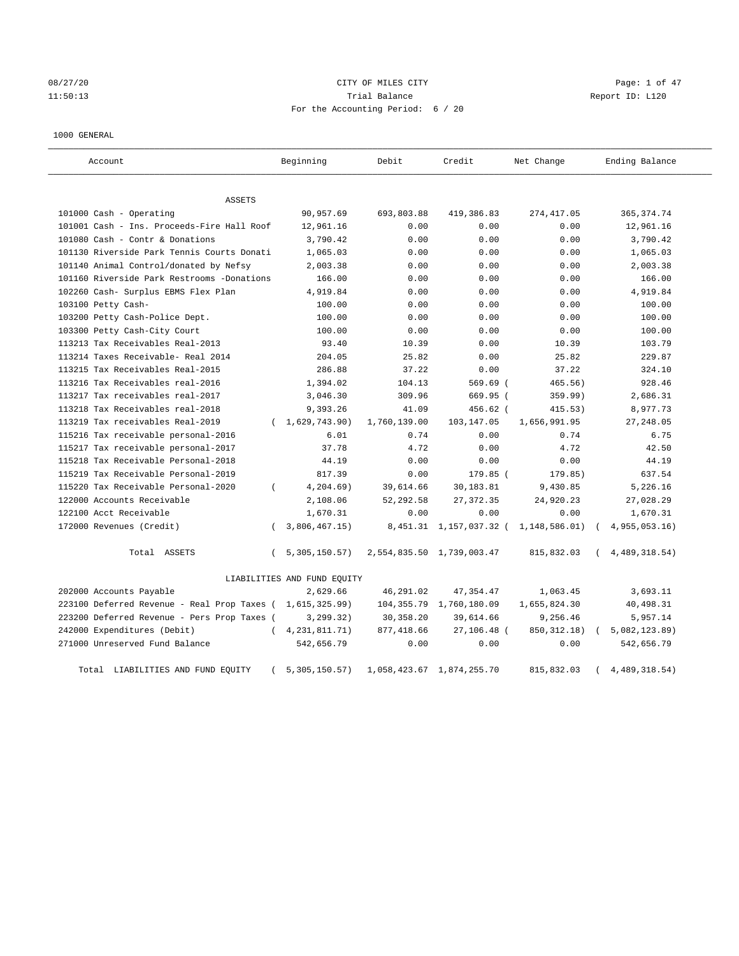08/27/20 Page: 1 of 47 11:50:13 Trial Balance Report ID: L120 For the Accounting Period: 6 / 20

#### 1000 GENERAL

| Account                                     |          | Beginning                   | Debit        | Credit                    | Net Change    | Ending Balance |
|---------------------------------------------|----------|-----------------------------|--------------|---------------------------|---------------|----------------|
| ASSETS                                      |          |                             |              |                           |               |                |
| 101000 Cash - Operating                     |          | 90,957.69                   | 693,803.88   | 419,386.83                | 274, 417.05   | 365, 374.74    |
| 101001 Cash - Ins. Proceeds-Fire Hall Roof  |          | 12,961.16                   | 0.00         | 0.00                      | 0.00          | 12,961.16      |
| 101080 Cash - Contr & Donations             |          | 3,790.42                    | 0.00         | 0.00                      | 0.00          | 3,790.42       |
| 101130 Riverside Park Tennis Courts Donati  |          | 1,065.03                    | 0.00         | 0.00                      | 0.00          | 1,065.03       |
| 101140 Animal Control/donated by Nefsy      |          | 2,003.38                    | 0.00         | 0.00                      | 0.00          | 2,003.38       |
| 101160 Riverside Park Restrooms -Donations  |          | 166.00                      | 0.00         | 0.00                      | 0.00          | 166.00         |
| 102260 Cash- Surplus EBMS Flex Plan         |          | 4,919.84                    | 0.00         | 0.00                      | 0.00          | 4,919.84       |
| 103100 Petty Cash-                          |          | 100.00                      | 0.00         | 0.00                      | 0.00          | 100.00         |
| 103200 Petty Cash-Police Dept.              |          | 100.00                      | 0.00         | 0.00                      | 0.00          | 100.00         |
| 103300 Petty Cash-City Court                |          | 100.00                      | 0.00         | 0.00                      | 0.00          | 100.00         |
| 113213 Tax Receivables Real-2013            |          | 93.40                       | 10.39        | 0.00                      | 10.39         | 103.79         |
| 113214 Taxes Receivable- Real 2014          |          | 204.05                      | 25.82        | 0.00                      | 25.82         | 229.87         |
| 113215 Tax Receivables Real-2015            |          | 286.88                      | 37.22        | 0.00                      | 37.22         | 324.10         |
| 113216 Tax Receivables real-2016            |          | 1,394.02                    | 104.13       | 569.69 (                  | 465.56)       | 928.46         |
| 113217 Tax receivables real-2017            |          | 3,046.30                    | 309.96       | 669.95 (                  | 359.99)       | 2,686.31       |
| 113218 Tax Receivables real-2018            |          | 9,393.26                    | 41.09        | $456.62$ (                | 415.53)       | 8,977.73       |
| 113219 Tax receivables Real-2019            |          | (1,629,743.90)              | 1,760,139.00 | 103,147.05                | 1,656,991.95  | 27, 248.05     |
| 115216 Tax receivable personal-2016         |          | 6.01                        | 0.74         | 0.00                      | 0.74          | 6.75           |
| 115217 Tax receivable personal-2017         |          | 37.78                       | 4.72         | 0.00                      | 4.72          | 42.50          |
| 115218 Tax Receivable Personal-2018         |          | 44.19                       | 0.00         | 0.00                      | 0.00          | 44.19          |
| 115219 Tax Receivable Personal-2019         |          | 817.39                      | 0.00         | 179.85 (                  | 179.85)       | 637.54         |
| 115220 Tax Receivable Personal-2020         | $\left($ | $4, 204.69$ )               | 39,614.66    | 30,183.81                 | 9,430.85      | 5,226.16       |
| 122000 Accounts Receivable                  |          | 2,108.06                    | 52,292.58    | 27, 372.35                | 24,920.23     | 27,028.29      |
| 122100 Acct Receivable                      |          | 1,670.31                    | 0.00         | 0.00                      | 0.00          | 1,670.31       |
| 172000 Revenues (Credit)                    |          | 3,806,467.15)               | 8,451.31     | 1,157,037.32 (            | 1,148,586.01) | 4,955,053.16   |
| Total ASSETS                                | $\left($ | 5,305,150.57)               |              | 2,554,835.50 1,739,003.47 | 815,832.03    | 4,489,318.54)  |
|                                             |          | LIABILITIES AND FUND EQUITY |              |                           |               |                |
| 202000 Accounts Payable                     |          | 2,629.66                    | 46,291.02    | 47, 354.47                | 1,063.45      | 3,693.11       |
| 223100 Deferred Revenue - Real Prop Taxes ( |          | 1,615,325.99)               | 104,355.79   | 1,760,180.09              | 1,655,824.30  | 40,498.31      |
| 223200 Deferred Revenue - Pers Prop Taxes ( |          | 3, 299.32)                  | 30, 358.20   | 39,614.66                 | 9,256.46      | 5,957.14       |
| 242000 Expenditures (Debit)                 | $\left($ | 4, 231, 811. 71)            | 877,418.66   | 27,106.48 (               | 850, 312.18)  | 5,082,123.89)  |
| 271000 Unreserved Fund Balance              |          | 542,656.79                  | 0.00         | 0.00                      | 0.00          | 542,656.79     |
| LIABILITIES AND FUND EQUITY<br>Total        |          | 5,305,150.57)               |              | 1,058,423.67 1,874,255.70 | 815,832.03    | 4,489,318.54)  |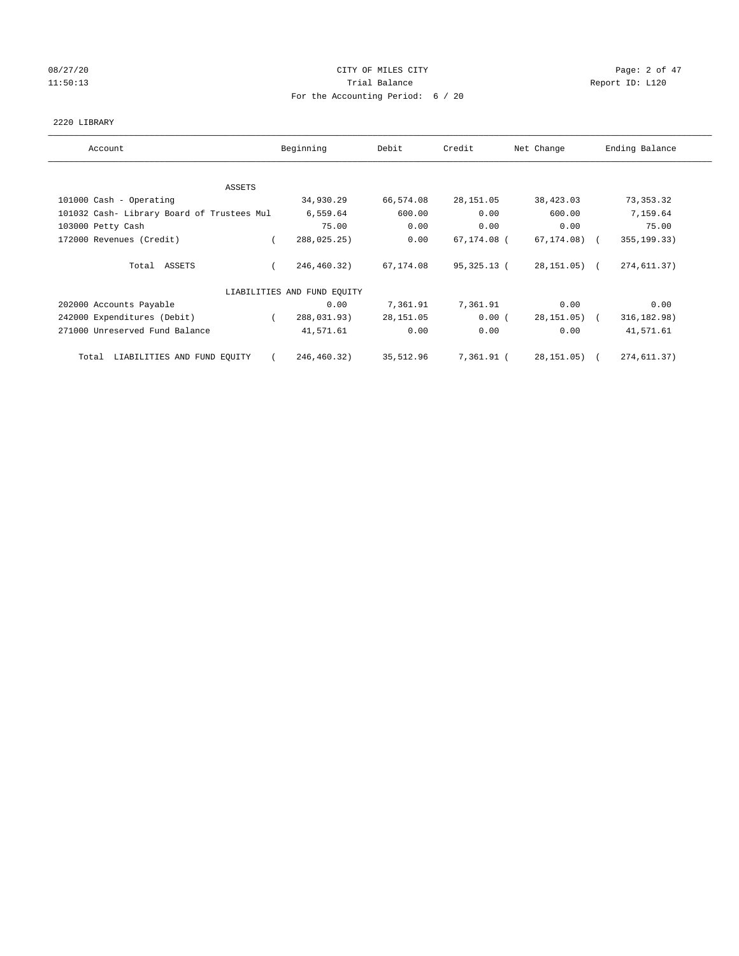# 08/27/20 **Page: 2 of 47** CITY OF MILES CITY CONTROL Page: 2 of 47 11:50:13 Report ID: L120 For the Accounting Period: 6 / 20

## 2220 LIBRARY

| Account                                    | Beginning                   | Debit      | Credit      | Net Change   | Ending Balance |
|--------------------------------------------|-----------------------------|------------|-------------|--------------|----------------|
| ASSETS                                     |                             |            |             |              |                |
| 101000 Cash - Operating                    | 34,930.29                   | 66,574.08  | 28,151.05   | 38,423.03    | 73, 353. 32    |
| 101032 Cash- Library Board of Trustees Mul | 6,559.64                    | 600.00     | 0.00        | 600.00       | 7,159.64       |
| 103000 Petty Cash                          | 75.00                       | 0.00       | 0.00        | 0.00         | 75.00          |
| 172000 Revenues (Credit)                   | 288,025.25)                 | 0.00       | 67,174.08 ( | 67,174.08) ( | 355, 199. 33)  |
| Total ASSETS                               | 246,460.32)                 | 67,174.08  | 95,325.13 ( | 28,151.05) ( | 274,611.37)    |
|                                            | LIABILITIES AND FUND EQUITY |            |             |              |                |
| 202000 Accounts Payable                    | 0.00                        | 7,361.91   | 7,361.91    | 0.00         | 0.00           |
| 242000 Expenditures (Debit)                | 288,031.93)<br>$\left($     | 28, 151.05 | 0.00(       | 28,151.05) ( | 316, 182.98)   |
| 271000 Unreserved Fund Balance             | 41,571.61                   | 0.00       | 0.00        | 0.00         | 41,571.61      |
| LIABILITIES AND FUND EQUITY<br>Total       | 246,460.32)                 | 35,512.96  | 7,361.91 (  | 28,151.05) ( | 274,611.37)    |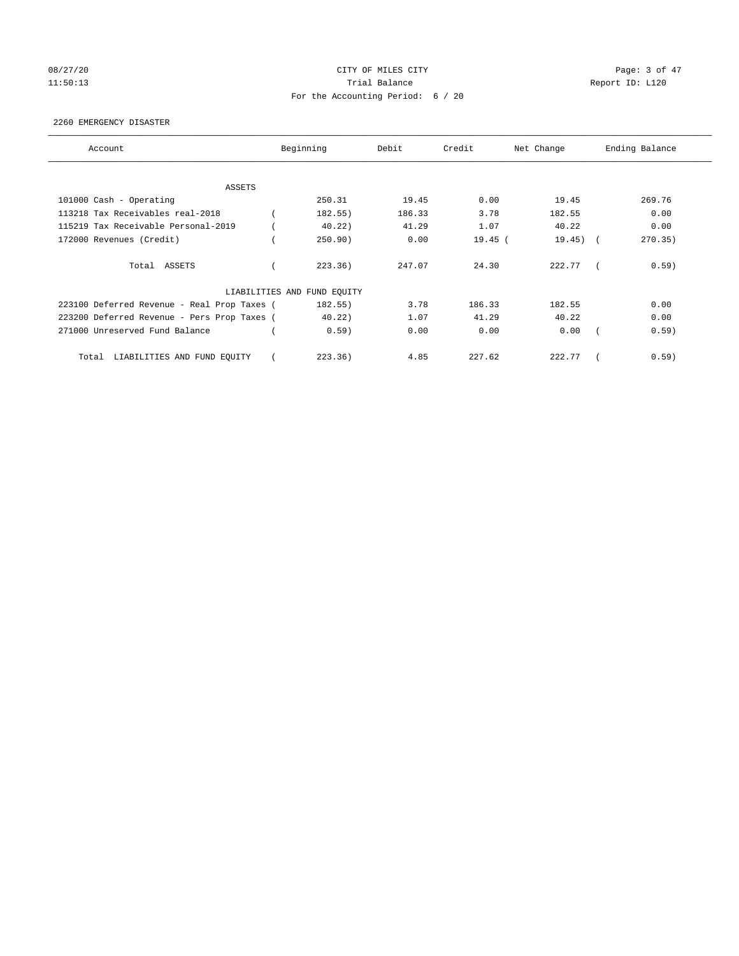# 08/27/20 **Page: 3 of 47** CITY OF MILES CITY CONTROL Page: 3 of 47 11:50:13 Report ID: L120 For the Accounting Period: 6 / 20

#### 2260 EMERGENCY DISASTER

| Account                                     | Beginning                   | Debit  | Credit    | Net Change | Ending Balance |
|---------------------------------------------|-----------------------------|--------|-----------|------------|----------------|
| ASSETS                                      |                             |        |           |            |                |
| 101000 Cash - Operating                     | 250.31                      | 19.45  | 0.00      | 19.45      | 269.76         |
| 113218 Tax Receivables real-2018            | 182.55)                     | 186.33 | 3.78      | 182.55     | 0.00           |
| 115219 Tax Receivable Personal-2019         | 40.22)                      | 41.29  | 1.07      | 40.22      | 0.00           |
| 172000 Revenues (Credit)                    | 250.90)                     | 0.00   | $19.45$ ( | 19.45)     | 270.35         |
| Total ASSETS                                | 223.36)                     | 247.07 | 24.30     | 222.77     | 0.59)          |
|                                             | LIABILITIES AND FUND EQUITY |        |           |            |                |
| 223100 Deferred Revenue - Real Prop Taxes ( | 182.55)                     | 3.78   | 186.33    | 182.55     | 0.00           |
| 223200 Deferred Revenue - Pers Prop Taxes ( | 40.22)                      | 1.07   | 41.29     | 40.22      | 0.00           |
| 271000 Unreserved Fund Balance              | 0.59)                       | 0.00   | 0.00      | 0.00       | 0.59)          |
| LIABILITIES AND FUND EQUITY<br>Total        | 223.36)                     | 4.85   | 227.62    | 222.77     | 0.59)          |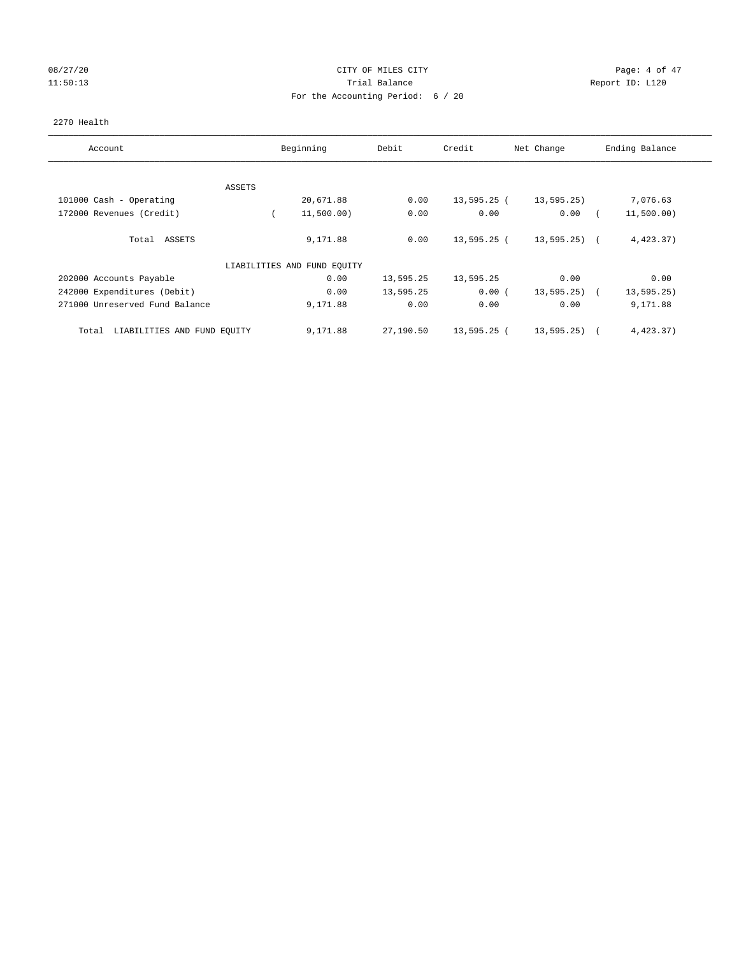# 08/27/20 Page: 4 of 47 11:50:13 Report ID: L120 For the Accounting Period: 6 / 20

## 2270 Health

| Account                              |        | Beginning                   | Debit     | Credit        | Net Change    | Ending Balance            |
|--------------------------------------|--------|-----------------------------|-----------|---------------|---------------|---------------------------|
|                                      |        |                             |           |               |               |                           |
|                                      | ASSETS |                             |           |               |               |                           |
| 101000 Cash - Operating              |        | 20,671.88                   | 0.00      | $13,595.25$ ( | 13,595.25)    | 7,076.63                  |
| 172000 Revenues (Credit)             |        | 11,500.00)                  | 0.00      | 0.00          | 0.00          | 11,500.00)                |
| Total ASSETS                         |        | 9,171.88                    | 0.00      | 13,595.25 (   | $13,595.25$ ( | 4,423.37)                 |
|                                      |        | LIABILITIES AND FUND EQUITY |           |               |               |                           |
| 202000 Accounts Payable              |        | 0.00                        | 13,595.25 | 13,595.25     | 0.00          | 0.00                      |
| 242000 Expenditures (Debit)          |        | 0.00                        | 13,595.25 | 0.00(         | 13, 595.25)   | 13, 595.25)<br>$\sqrt{2}$ |
| 271000 Unreserved Fund Balance       |        | 9,171.88                    | 0.00      | 0.00          | 0.00          | 9,171.88                  |
| LIABILITIES AND FUND EQUITY<br>Total |        | 9,171.88                    | 27,190.50 | 13,595.25 (   | 13,595.25)    | 4,423.37)                 |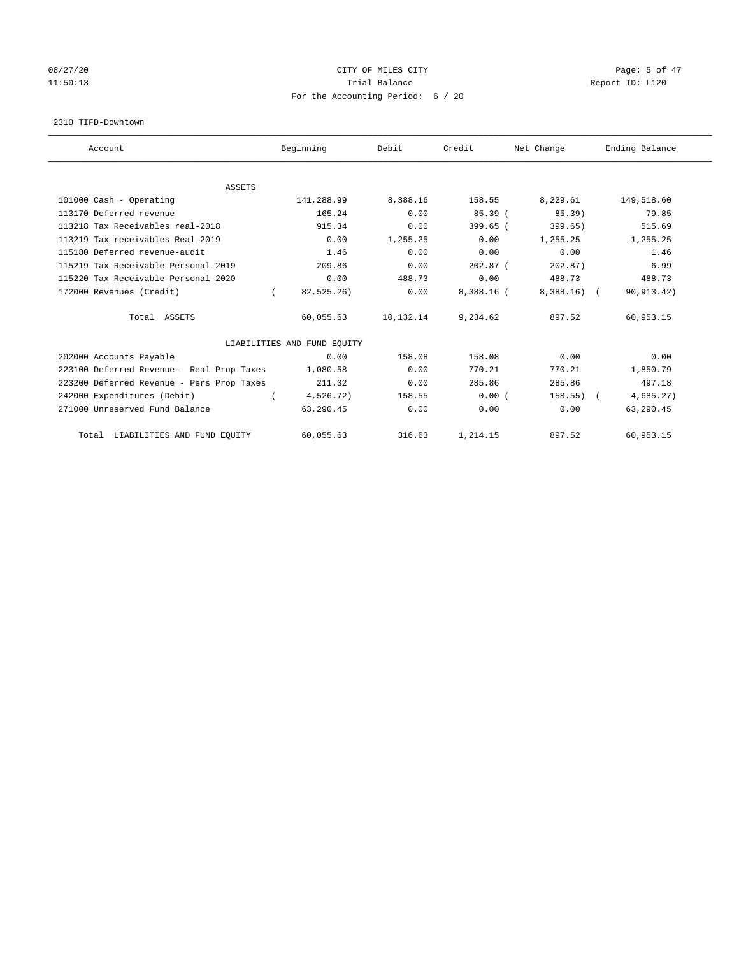# 08/27/20 **Page: 5 of 47** CITY OF MILES CITY CONTROL Page: 5 of 47 11:50:13 Report ID: L120 For the Accounting Period: 6 / 20

#### 2310 TIFD-Downtown

| Account                                   | Beginning                   | Debit     | Credit       | Net Change   | Ending Balance |
|-------------------------------------------|-----------------------------|-----------|--------------|--------------|----------------|
|                                           |                             |           |              |              |                |
| <b>ASSETS</b>                             |                             |           |              |              |                |
| 101000 Cash - Operating                   | 141,288.99                  | 8,388.16  | 158.55       | 8,229.61     | 149,518.60     |
| 113170 Deferred revenue                   | 165.24                      | 0.00      | 85.39(       | $85.39$ )    | 79.85          |
| 113218 Tax Receivables real-2018          | 915.34                      | 0.00      | $399.65$ (   | 399.65)      | 515.69         |
| 113219 Tax receivables Real-2019          | 0.00                        | 1,255.25  | 0.00         | 1,255.25     | 1,255.25       |
| 115180 Deferred revenue-audit             | 1.46                        | 0.00      | 0.00         | 0.00         | 1.46           |
| 115219 Tax Receivable Personal-2019       | 209.86                      | 0.00      | $202.87$ (   | 202.87)      | 6.99           |
| 115220 Tax Receivable Personal-2020       | 0.00                        | 488.73    | 0.00         | 488.73       | 488.73         |
| 172000 Revenues (Credit)                  | 82,525.26)                  | 0.00      | $8,388.16$ ( | $8,388.16$ ( | 90, 913.42)    |
| Total ASSETS                              | 60,055.63                   | 10,132.14 | 9,234.62     | 897.52       | 60,953.15      |
|                                           | LIABILITIES AND FUND EQUITY |           |              |              |                |
| 202000 Accounts Payable                   | 0.00                        | 158.08    | 158.08       | 0.00         | 0.00           |
| 223100 Deferred Revenue - Real Prop Taxes | 1,080.58                    | 0.00      | 770.21       | 770.21       | 1,850.79       |
| 223200 Deferred Revenue - Pers Prop Taxes | 211.32                      | 0.00      | 285.86       | 285.86       | 497.18         |
| 242000 Expenditures (Debit)               | 4,526.72)                   | 158.55    | 0.00(        | 158.55       | 4,685.27)      |
| 271000 Unreserved Fund Balance            | 63,290.45                   | 0.00      | 0.00         | 0.00         | 63,290.45      |
| LIABILITIES AND FUND EQUITY<br>Total      | 60,055.63                   | 316.63    | 1,214.15     | 897.52       | 60,953.15      |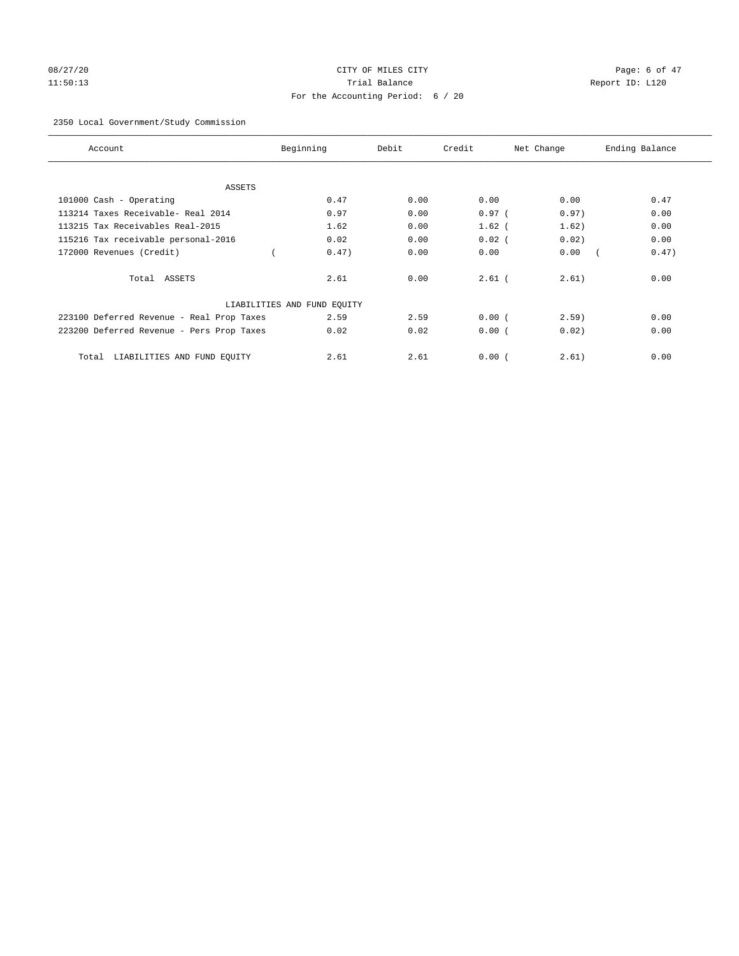# 08/27/20 **Page: 6 of 47** CITY OF MILES CITY CONTROL Page: 6 of 47 11:50:13 Trial Balance Report ID: L120 For the Accounting Period: 6 / 20

# 2350 Local Government/Study Commission

| Account                                   | Beginning                   | Debit | Credit   | Net Change | Ending Balance |
|-------------------------------------------|-----------------------------|-------|----------|------------|----------------|
| ASSETS                                    |                             |       |          |            |                |
| 101000 Cash - Operating                   | 0.47                        | 0.00  | 0.00     | 0.00       | 0.47           |
| 113214 Taxes Receivable- Real 2014        | 0.97                        | 0.00  | $0.97$ ( | 0.97)      | 0.00           |
| 113215 Tax Receivables Real-2015          | 1.62                        | 0.00  | $1.62$ ( | 1.62)      | 0.00           |
| 115216 Tax receivable personal-2016       | 0.02                        | 0.00  | $0.02$ ( | 0.02)      | 0.00           |
| 172000 Revenues (Credit)                  | 0.47)                       | 0.00  | 0.00     | 0.00       | 0.47)          |
| Total ASSETS                              | 2.61                        | 0.00  | $2.61$ ( | 2.61)      | 0.00           |
|                                           | LIABILITIES AND FUND EQUITY |       |          |            |                |
| 223100 Deferred Revenue - Real Prop Taxes | 2.59                        | 2.59  | 0.00(    | 2.59       | 0.00           |
| 223200 Deferred Revenue - Pers Prop Taxes | 0.02                        | 0.02  | 0.00(    | 0.02)      | 0.00           |
| LIABILITIES AND FUND EQUITY<br>Total      | 2.61                        | 2.61  | 0.00(    | 2.61)      | 0.00           |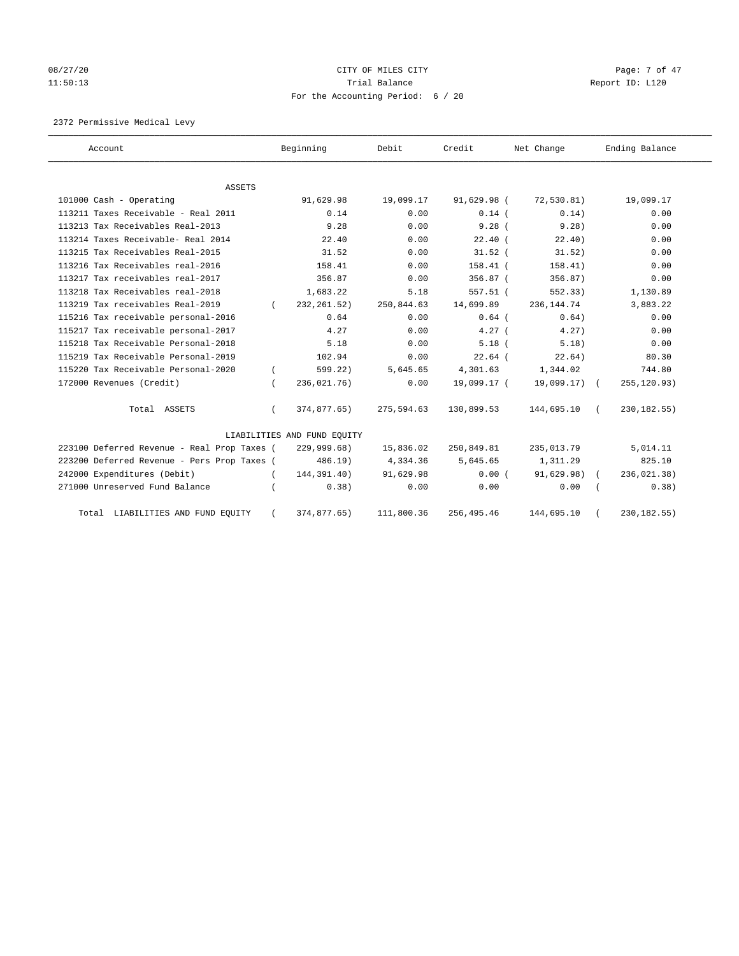# 08/27/20 Page: 7 of 47 11:50:13 Report ID: L120 For the Accounting Period: 6 / 20

2372 Permissive Medical Levy

| Account                                     | Beginning                   | Debit      | Credit      | Net Change    | Ending Balance |
|---------------------------------------------|-----------------------------|------------|-------------|---------------|----------------|
|                                             |                             |            |             |               |                |
| <b>ASSETS</b>                               |                             |            |             |               |                |
| 101000 Cash - Operating                     | 91,629.98                   | 19,099.17  | 91,629.98 ( | 72, 530.81)   | 19,099.17      |
| 113211 Taxes Receivable - Real 2011         | 0.14                        | 0.00       | $0.14$ (    | 0.14)         | 0.00           |
| 113213 Tax Receivables Real-2013            | 9.28                        | 0.00       | 9.28(       | 9.28)         | 0.00           |
| 113214 Taxes Receivable- Real 2014          | 22.40                       | 0.00       | $22.40$ (   | 22.40)        | 0.00           |
| 113215 Tax Receivables Real-2015            | 31.52                       | 0.00       | $31.52$ (   | 31.52)        | 0.00           |
| 113216 Tax Receivables real-2016            | 158.41                      | 0.00       | $158.41$ (  | 158.41)       | 0.00           |
| 113217 Tax receivables real-2017            | 356.87                      | 0.00       | $356.87$ (  | 356.87)       | 0.00           |
| 113218 Tax Receivables real-2018            | 1,683.22                    | 5.18       | $557.51$ (  | 552.33)       | 1,130.89       |
| 113219 Tax receivables Real-2019            | 232, 261.52)                | 250,844.63 | 14,699.89   | 236, 144.74   | 3,883.22       |
| 115216 Tax receivable personal-2016         | 0.64                        | 0.00       | $0.64$ (    | 0.64)         | 0.00           |
| 115217 Tax receivable personal-2017         | 4.27                        | 0.00       | $4.27$ (    | 4.27          | 0.00           |
| 115218 Tax Receivable Personal-2018         | 5.18                        | 0.00       | $5.18$ (    | 5.18)         | 0.00           |
| 115219 Tax Receivable Personal-2019         | 102.94                      | 0.00       | $22.64$ (   | 22.64)        | 80.30          |
| 115220 Tax Receivable Personal-2020         | 599.22)                     | 5,645.65   | 4,301.63    | 1,344.02      | 744.80         |
| 172000 Revenues (Credit)                    | 236,021.76)                 | 0.00       | 19,099.17 ( | $19,099.17$ ( | 255,120.93)    |
| Total ASSETS                                | 374,877.65)                 | 275,594.63 | 130,899.53  | 144,695.10    | 230, 182. 55)  |
|                                             | LIABILITIES AND FUND EQUITY |            |             |               |                |
| 223100 Deferred Revenue - Real Prop Taxes ( | 229,999.68)                 | 15,836.02  | 250,849.81  | 235,013.79    | 5,014.11       |
| 223200 Deferred Revenue - Pers Prop Taxes ( | 486.19)                     | 4,334.36   | 5,645.65    | 1,311.29      | 825.10         |
| 242000 Expenditures (Debit)                 | 144,391.40)                 | 91,629.98  | 0.00(       | 91,629.98)    | 236, 021.38)   |
| 271000 Unreserved Fund Balance              | 0.38)                       | 0.00       | 0.00        | 0.00          | 0.38)          |
| Total LIABILITIES AND FUND EQUITY           | 374,877.65)                 | 111,800.36 | 256, 495.46 | 144,695.10    | 230, 182. 55)  |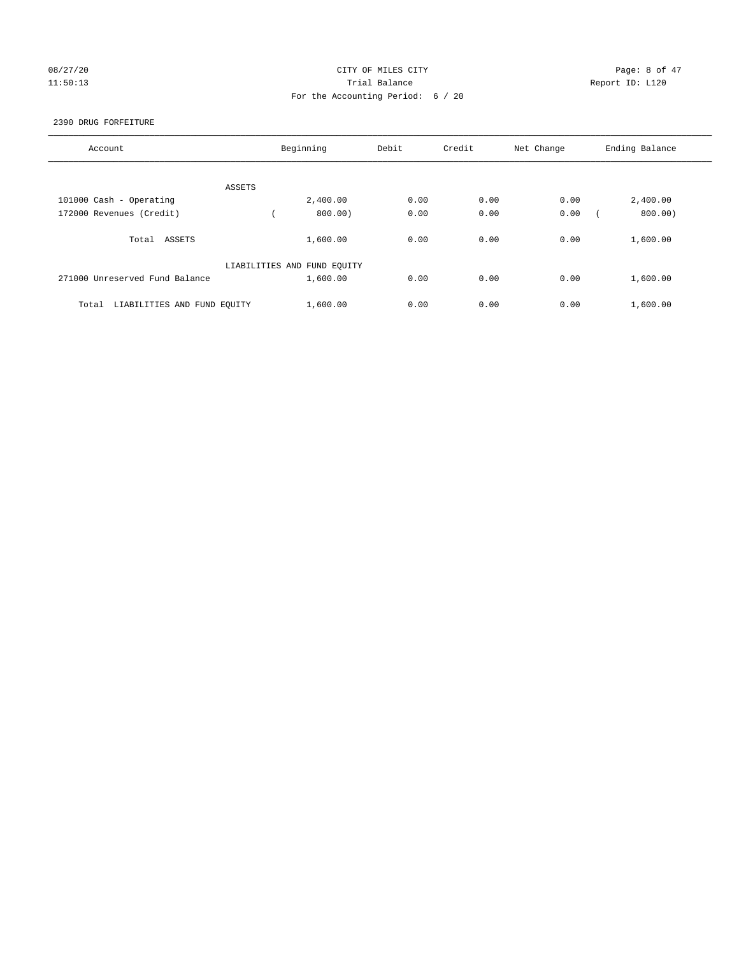# 08/27/20 **Page: 8 of 47** CITY OF MILES CITY CONTROL Page: 8 of 47 11:50:13 Report ID: L120 For the Accounting Period: 6 / 20

#### 2390 DRUG FORFEITURE

| Account                              | Beginning                   | Debit | Credit | Net Change | Ending Balance |
|--------------------------------------|-----------------------------|-------|--------|------------|----------------|
| ASSETS                               |                             |       |        |            |                |
| 101000 Cash - Operating              | 2,400.00                    | 0.00  | 0.00   | 0.00       | 2,400.00       |
| 172000 Revenues (Credit)             | 800.00)                     | 0.00  | 0.00   | 0.00       | 800.00)        |
| Total ASSETS                         | 1,600.00                    | 0.00  | 0.00   | 0.00       | 1,600.00       |
|                                      | LIABILITIES AND FUND EQUITY |       |        |            |                |
| 271000 Unreserved Fund Balance       | 1,600.00                    | 0.00  | 0.00   | 0.00       | 1,600.00       |
| LIABILITIES AND FUND EQUITY<br>Total | 1,600.00                    | 0.00  | 0.00   | 0.00       | 1,600.00       |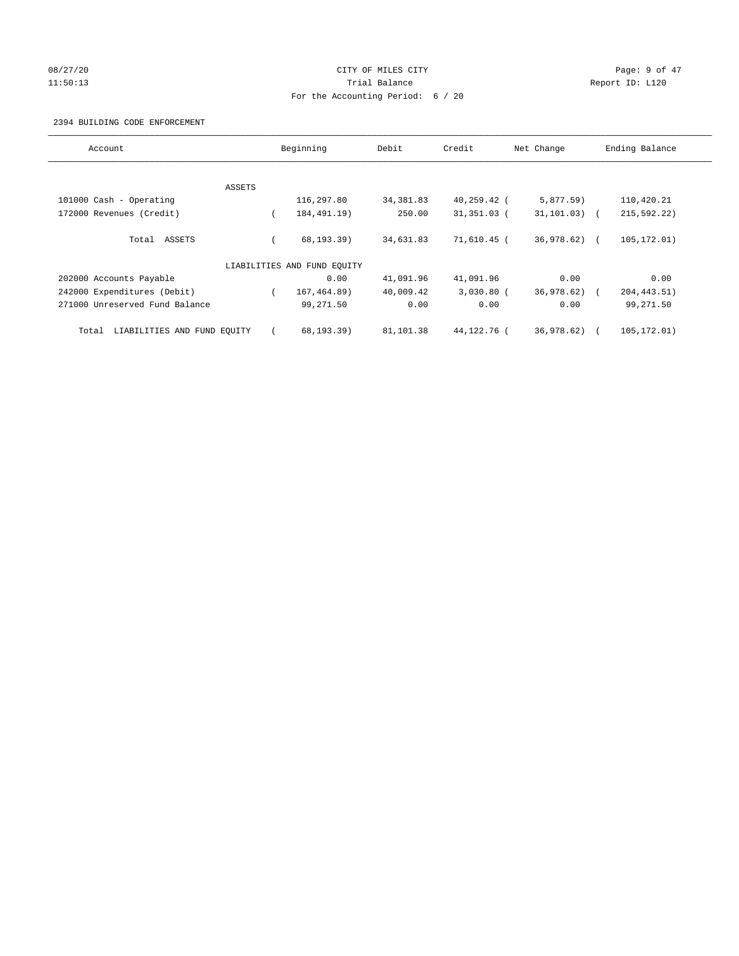# 08/27/20 **Page: 9 of 47** CITY OF MILES CITY CONTROL Page: 9 of 47 11:50:13 Report ID: L120 For the Accounting Period: 6 / 20

#### 2394 BUILDING CODE ENFORCEMENT

| Account                              |        | Beginning                   | Debit      | Credit         | Net Change      | Ending Balance |
|--------------------------------------|--------|-----------------------------|------------|----------------|-----------------|----------------|
|                                      |        |                             |            |                |                 |                |
|                                      | ASSETS |                             |            |                |                 |                |
| 101000 Cash - Operating              |        | 116,297.80                  | 34, 381.83 | $40, 259.42$ ( | 5,877.59        | 110,420.21     |
| 172000 Revenues (Credit)             |        | 184, 491. 19)               | 250.00     | $31,351.03$ (  | $31, 101.03)$ ( | 215,592.22)    |
| Total ASSETS                         |        | 68, 193.39)                 | 34,631.83  | 71,610.45 (    | 36,978.62) (    | 105, 172.01)   |
|                                      |        | LIABILITIES AND FUND EQUITY |            |                |                 |                |
| 202000 Accounts Payable              |        | 0.00                        | 41,091.96  | 41,091.96      | 0.00            | 0.00           |
| 242000 Expenditures (Debit)          |        | 167, 464.89)                | 40,009.42  | $3,030.80$ (   | 36,978.62)      | 204, 443.51)   |
| 271000 Unreserved Fund Balance       |        | 99,271.50                   | 0.00       | 0.00           | 0.00            | 99,271.50      |
| LIABILITIES AND FUND EQUITY<br>Total |        | 68,193.39)                  | 81,101.38  | 44,122.76 (    | 36,978.62)      | 105,172.01)    |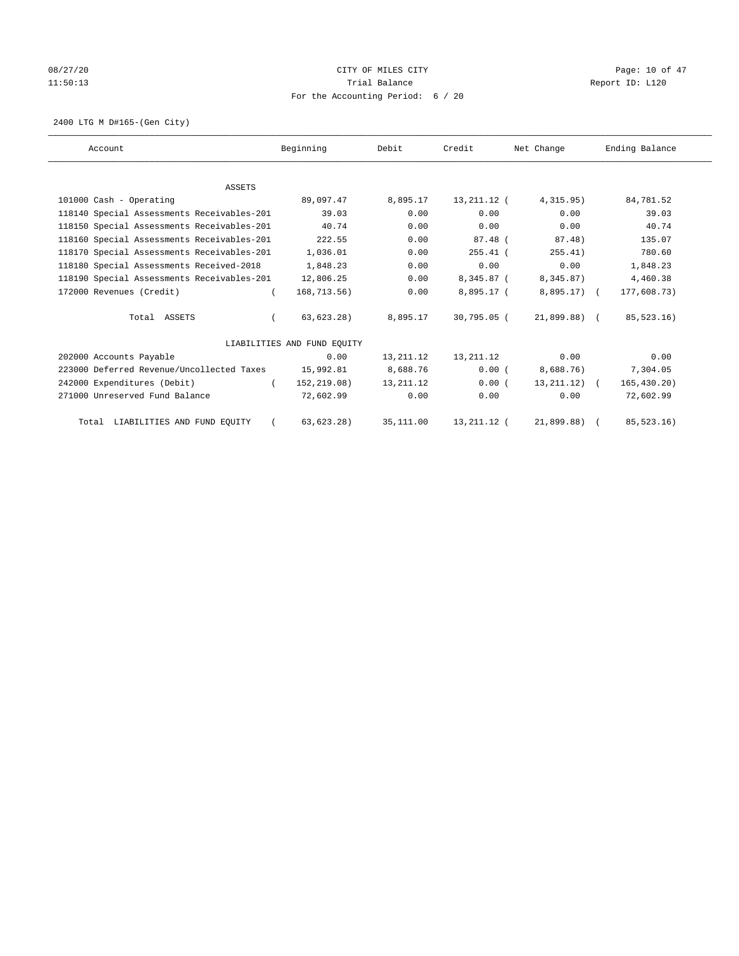# 08/27/20 Page: 10 of 47 11:50:13 Report ID: L120 For the Accounting Period: 6 / 20

2400 LTG M D#165-(Gen City)

| Account                                    | Beginning                   | Debit       | Credit        | Net Change       | Ending Balance |
|--------------------------------------------|-----------------------------|-------------|---------------|------------------|----------------|
|                                            |                             |             |               |                  |                |
| <b>ASSETS</b>                              |                             |             |               |                  |                |
| 101000 Cash - Operating                    | 89,097.47                   | 8,895.17    | 13,211.12 (   | 4, 315.95)       | 84,781.52      |
| 118140 Special Assessments Receivables-201 | 39.03                       | 0.00        | 0.00          | 0.00             | 39.03          |
| 118150 Special Assessments Receivables-201 | 40.74                       | 0.00        | 0.00          | 0.00             | 40.74          |
| 118160 Special Assessments Receivables-201 | 222.55                      | 0.00        | 87.48 (       | 87.48)           | 135.07         |
| 118170 Special Assessments Receivables-201 | 1,036.01                    | 0.00        | $255.41$ (    | 255.41)          | 780.60         |
| 118180 Special Assessments Received-2018   | 1,848.23                    | 0.00        | 0.00          | 0.00             | 1,848.23       |
| 118190 Special Assessments Receivables-201 | 12,806.25                   | 0.00        | 8,345.87 (    | 8,345.87)        | 4,460.38       |
| 172000 Revenues (Credit)                   | 168,713.56)                 | 0.00        | 8,895.17 (    | $8,895.17$ (     | 177,608.73)    |
| Total ASSETS                               | 63,623.28)                  | 8,895.17    | 30,795.05 (   | 21,899.88) (     | 85,523.16)     |
|                                            | LIABILITIES AND FUND EQUITY |             |               |                  |                |
| 202000 Accounts Payable                    | 0.00                        | 13, 211. 12 | 13,211.12     | 0.00             | 0.00           |
| 223000 Deferred Revenue/Uncollected Taxes  | 15,992.81                   | 8,688.76    | 0.00(         | 8,688.76)        | 7,304.05       |
| 242000 Expenditures (Debit)                | 152,219.08)<br>$\left($     | 13, 211. 12 | 0.00(         | $13, 211, 12)$ ( | 165, 430.20    |
| 271000 Unreserved Fund Balance             | 72,602.99                   | 0.00        | 0.00          | 0.00             | 72,602.99      |
| Total LIABILITIES AND FUND EQUITY          | 63, 623.28)                 | 35, 111.00  | 13, 211. 12 ( | 21,899.88)       | 85, 523. 16)   |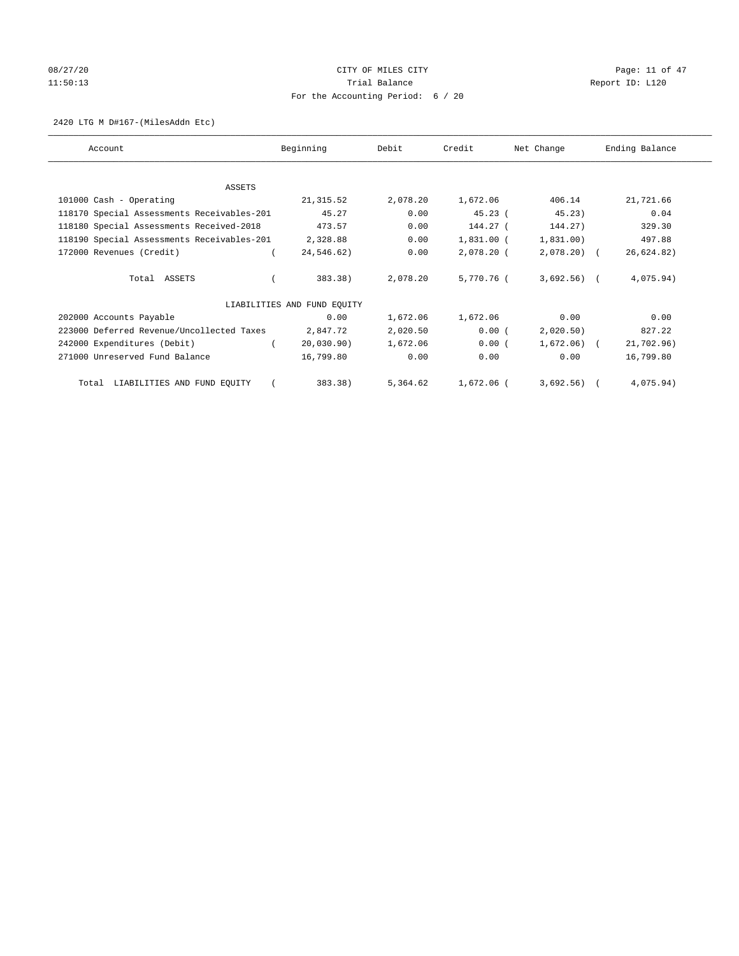# 08/27/20 Page: 11 of 47 11:50:13 Channel Balance Trial Balance Report ID: L120 For the Accounting Period: 6 / 20

#### 2420 LTG M D#167-(MilesAddn Etc)

| Account                                    | Beginning                   | Debit    | Credit       | Net Change   | Ending Balance |
|--------------------------------------------|-----------------------------|----------|--------------|--------------|----------------|
|                                            |                             |          |              |              |                |
| ASSETS                                     |                             |          |              |              |                |
| 101000 Cash - Operating                    | 21,315.52                   | 2,078.20 | 1,672.06     | 406.14       | 21,721.66      |
| 118170 Special Assessments Receivables-201 | 45.27                       | 0.00     | 45.23(       | 45.23)       | 0.04           |
| 118180 Special Assessments Received-2018   | 473.57                      | 0.00     | 144.27 (     | 144.27)      | 329.30         |
| 118190 Special Assessments Receivables-201 | 2,328.88                    | 0.00     | $1,831.00$ ( | 1,831.00)    | 497.88         |
| 172000 Revenues (Credit)                   | 24,546.62)                  | 0.00     | 2,078.20 (   | $2,078.20$ ( | 26,624.82)     |
| Total ASSETS                               | 383.38)                     | 2,078.20 | 5,770.76 (   | $3,692.56$ ( | 4,075.94)      |
|                                            | LIABILITIES AND FUND EQUITY |          |              |              |                |
| 202000 Accounts Payable                    | 0.00                        | 1,672.06 | 1,672.06     | 0.00         | 0.00           |
| 223000 Deferred Revenue/Uncollected Taxes  | 2,847.72                    | 2,020.50 | 0.00(        | 2,020.50)    | 827.22         |
| 242000 Expenditures (Debit)                | 20,030.90)                  | 1,672.06 | 0.00(        | $1,672.06$ ( | 21,702.96)     |
| 271000 Unreserved Fund Balance             | 16,799.80                   | 0.00     | 0.00         | 0.00         | 16,799.80      |
| Total LIABILITIES AND FUND EQUITY          | 383.38)                     | 5,364.62 | 1,672.06 (   | 3,692.56)    | 4,075.94)      |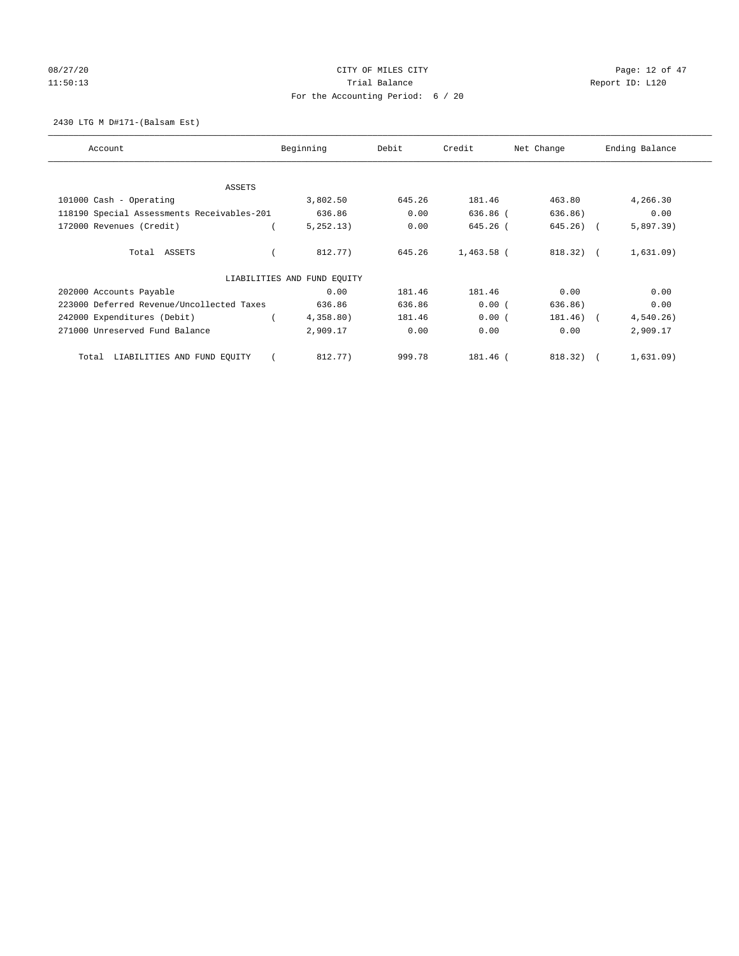# 08/27/20 Page: 12 of 47 11:50:13 Channel Balance Trial Balance Report ID: L120 For the Accounting Period: 6 / 20

2430 LTG M D#171-(Balsam Est)

| Account                                    | Beginning                   | Debit  | Credit       | Net Change | Ending Balance |
|--------------------------------------------|-----------------------------|--------|--------------|------------|----------------|
| ASSETS                                     |                             |        |              |            |                |
| 101000 Cash - Operating                    | 3,802.50                    | 645.26 | 181.46       | 463.80     | 4,266.30       |
| 118190 Special Assessments Receivables-201 | 636.86                      | 0.00   | 636.86 (     | 636.86)    | 0.00           |
| 172000 Revenues (Credit)                   | 5,252.13)                   | 0.00   | 645.26 (     | 645.26) (  | 5,897.39)      |
| Total ASSETS                               | 812.77)                     | 645.26 | $1,463.58$ ( | $818.32$ ( | 1,631.09)      |
|                                            | LIABILITIES AND FUND EQUITY |        |              |            |                |
| 202000 Accounts Payable                    | 0.00                        | 181.46 | 181.46       | 0.00       | 0.00           |
| 223000 Deferred Revenue/Uncollected Taxes  | 636.86                      | 636.86 | 0.00(        | 636.86)    | 0.00           |
| 242000 Expenditures (Debit)                | 4,358.80)                   | 181.46 | 0.00(        | 181.46) (  | 4,540.26)      |
| 271000 Unreserved Fund Balance             | 2,909.17                    | 0.00   | 0.00         | 0.00       | 2,909.17       |
| LIABILITIES AND FUND EQUITY<br>Total       | 812.77)                     | 999.78 | 181.46 (     | 818.32)    | 1,631.09)      |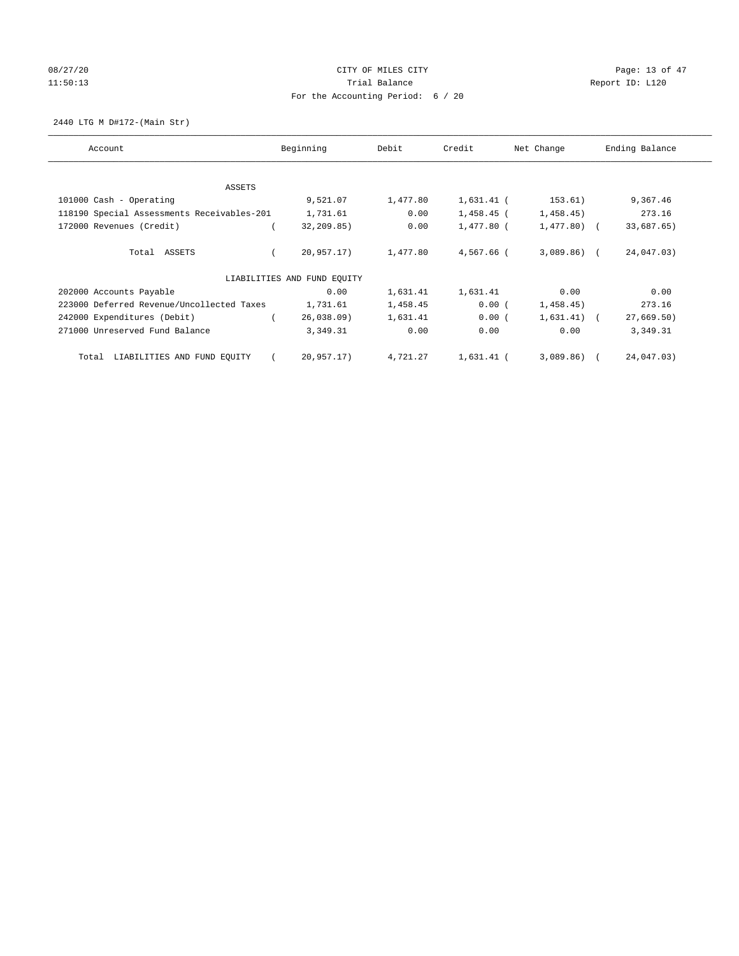# 08/27/20 Page: 13 of 47 11:50:13 Channel Balance Trial Balance Report ID: L120 For the Accounting Period: 6 / 20

2440 LTG M D#172-(Main Str)

| Account                                    | Beginning                   | Debit    | Credit       | Net Change   | Ending Balance |
|--------------------------------------------|-----------------------------|----------|--------------|--------------|----------------|
| ASSETS                                     |                             |          |              |              |                |
| 101000 Cash - Operating                    | 9,521.07                    | 1,477.80 | $1,631.41$ ( | 153.61)      | 9,367.46       |
| 118190 Special Assessments Receivables-201 | 1,731.61                    | 0.00     | 1,458.45 (   | 1,458.45)    | 273.16         |
| 172000 Revenues (Credit)                   | 32,209.85)                  | 0.00     | $1,477.80$ ( | $1,477.80$ ( | 33,687.65)     |
| Total ASSETS                               | 20,957.17)                  | 1,477.80 | $4.567.66$ ( | $3,089.86$ ( | 24,047.03)     |
|                                            | LIABILITIES AND FUND EQUITY |          |              |              |                |
| 202000 Accounts Payable                    | 0.00                        | 1,631.41 | 1,631.41     | 0.00         | 0.00           |
| 223000 Deferred Revenue/Uncollected Taxes  | 1,731.61                    | 1,458.45 | 0.00(        | 1,458.45)    | 273.16         |
| 242000 Expenditures (Debit)                | 26,038.09                   | 1,631.41 | 0.00(        | $1,631.41$ ( | 27,669.50)     |
| 271000 Unreserved Fund Balance             | 3,349.31                    | 0.00     | 0.00         | 0.00         | 3,349.31       |
| LIABILITIES AND FUND EQUITY<br>Total       | 20,957.17)                  | 4,721.27 | 1,631.41 (   | $3,089.86$ ( | 24,047.03)     |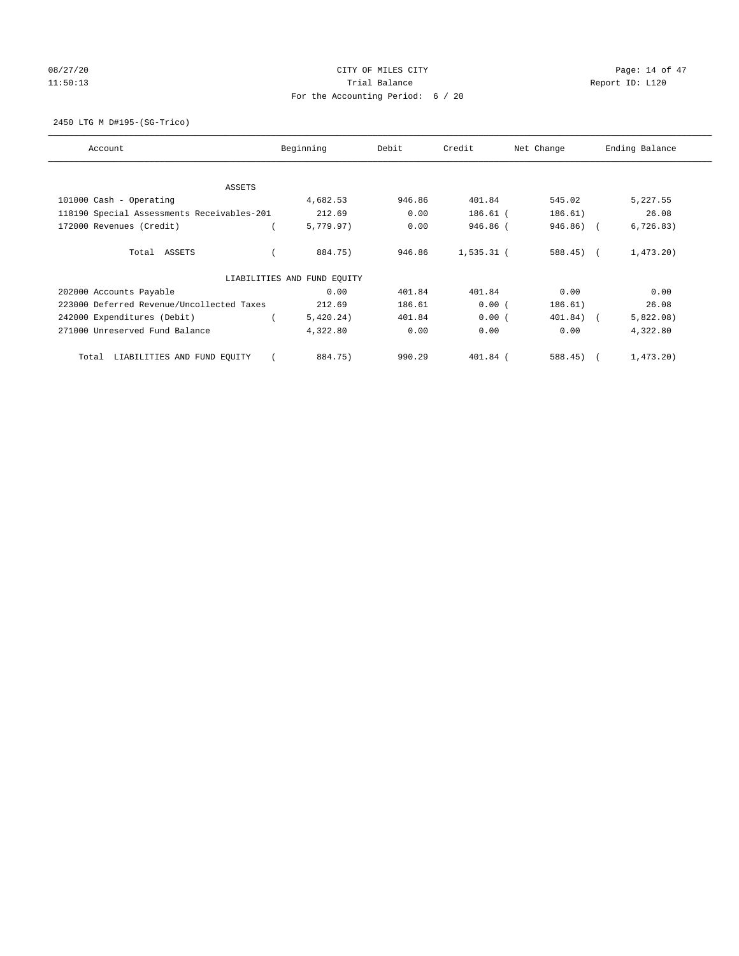# 08/27/20 Page: 14 of 47 11:50:13 Channel Balance Trial Balance Report ID: L120 For the Accounting Period: 6 / 20

2450 LTG M D#195-(SG-Trico)

| Account                                    | Beginning                   | Debit  | Credit       | Net Change | Ending Balance |
|--------------------------------------------|-----------------------------|--------|--------------|------------|----------------|
| ASSETS                                     |                             |        |              |            |                |
| 101000 Cash - Operating                    | 4,682.53                    | 946.86 | 401.84       | 545.02     | 5,227.55       |
| 118190 Special Assessments Receivables-201 | 212.69                      | 0.00   | 186.61 (     | 186.61)    | 26.08          |
| 172000 Revenues (Credit)                   | 5,779.97)                   | 0.00   | 946.86 (     | 946.86) (  | 6, 726.83)     |
| Total ASSETS                               | 884.75)                     | 946.86 | $1,535.31$ ( | $588.45$ ( | 1,473.20       |
|                                            | LIABILITIES AND FUND EQUITY |        |              |            |                |
| 202000 Accounts Payable                    | 0.00                        | 401.84 | 401.84       | 0.00       | 0.00           |
| 223000 Deferred Revenue/Uncollected Taxes  | 212.69                      | 186.61 | 0.00(        | 186.61)    | 26.08          |
| 242000 Expenditures (Debit)                | 5,420.24)                   | 401.84 | 0.00(        | 401.84) (  | 5,822.08)      |
| 271000 Unreserved Fund Balance             | 4,322.80                    | 0.00   | 0.00         | 0.00       | 4,322.80       |
| LIABILITIES AND FUND EQUITY<br>Total       | 884.75)                     | 990.29 | 401.84 (     | 588.45)    | 1,473.20       |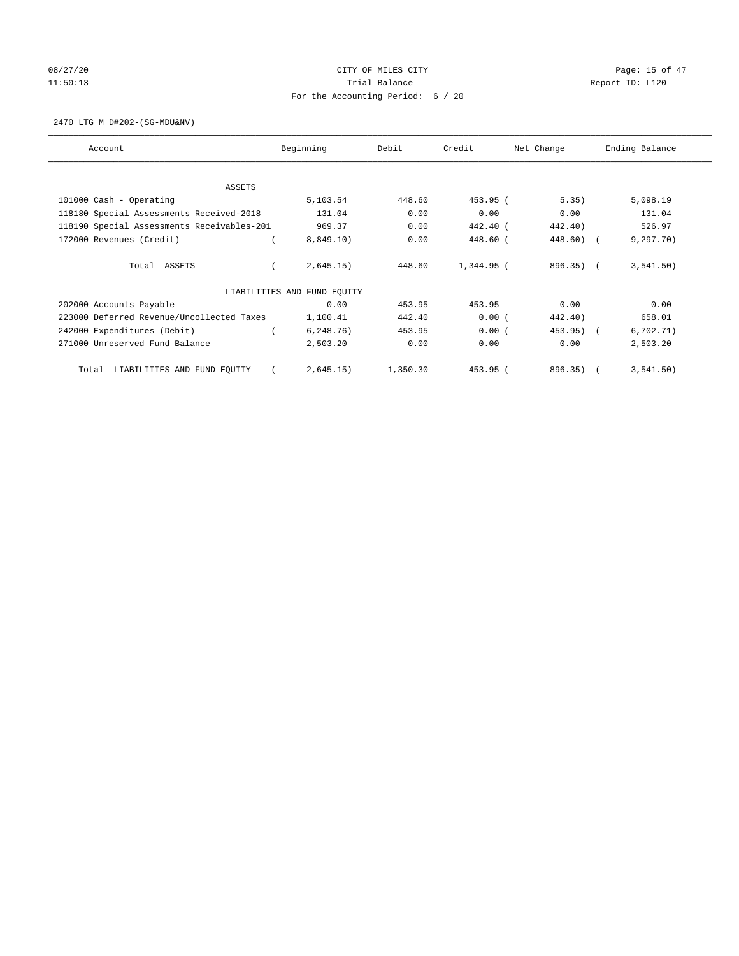# 08/27/20 Page: 15 of 47 11:50:13 Channel Balance Trial Balance Report ID: L120 For the Accounting Period: 6 / 20

2470 LTG M D#202-(SG-MDU&NV)

| Account                                    | Beginning                   | Debit    | Credit     | Net Change | Ending Balance |
|--------------------------------------------|-----------------------------|----------|------------|------------|----------------|
| ASSETS                                     |                             |          |            |            |                |
| 101000 Cash - Operating                    | 5,103.54                    | 448.60   | 453.95 (   | 5.35)      | 5,098.19       |
| 118180 Special Assessments Received-2018   | 131.04                      | 0.00     | 0.00       | 0.00       | 131.04         |
| 118190 Special Assessments Receivables-201 | 969.37                      | 0.00     | 442.40 (   | 442.40)    | 526.97         |
| 172000 Revenues (Credit)                   | 8,849.10)                   | 0.00     | 448.60 (   | 448.60) (  | 9, 297, 70)    |
|                                            |                             |          |            |            |                |
| Total ASSETS                               | 2,645.15)                   | 448.60   | 1,344.95 ( | $896.35$ ( | 3,541.50)      |
|                                            | LIABILITIES AND FUND EQUITY |          |            |            |                |
| 202000 Accounts Payable                    | 0.00                        | 453.95   | 453.95     | 0.00       | 0.00           |
| 223000 Deferred Revenue/Uncollected Taxes  | 1,100.41                    | 442.40   | 0.00(      | 442.40)    | 658.01         |
| 242000 Expenditures (Debit)                | 6, 248.76)                  | 453.95   | 0.00(      | 453.95)    | 6,702.71)      |
| 271000 Unreserved Fund Balance             | 2,503.20                    | 0.00     | 0.00       | 0.00       | 2,503.20       |
| LIABILITIES AND FUND EQUITY<br>Total       | 2,645.15)                   | 1,350.30 | 453.95 (   | 896.35)    | 3,541.50)      |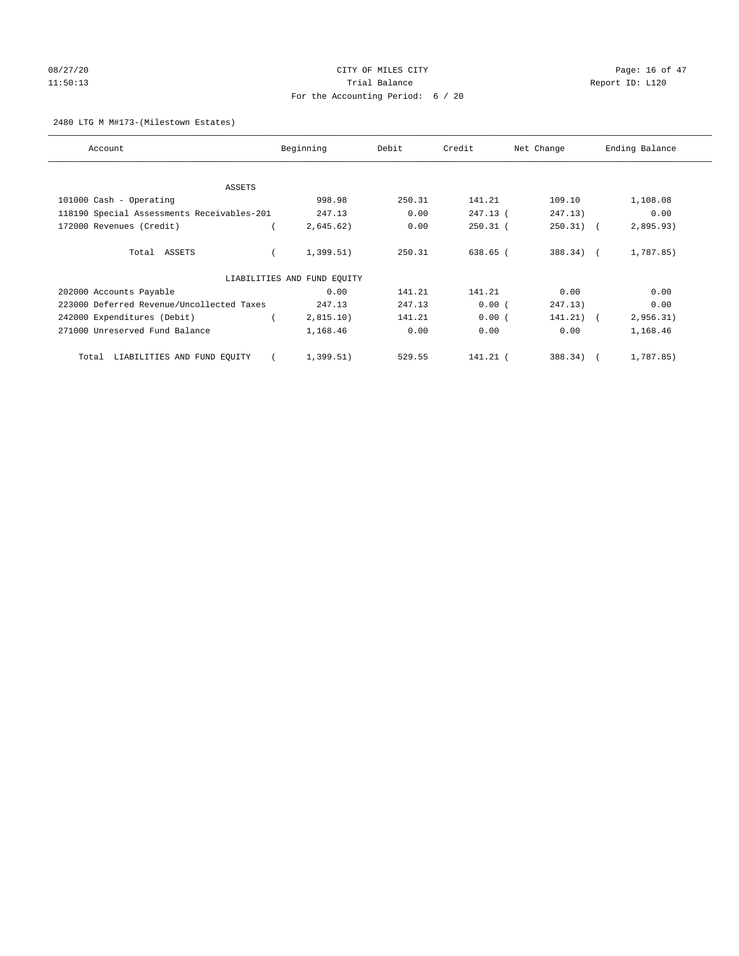# 08/27/20 Page: 16 of 47 11:50:13 Channel Balance Trial Balance Report ID: L120 For the Accounting Period: 6 / 20

#### 2480 LTG M M#173-(Milestown Estates)

| Account                                    | Beginning                   | Debit  | Credit     | Net Change  | Ending Balance |
|--------------------------------------------|-----------------------------|--------|------------|-------------|----------------|
| ASSETS                                     |                             |        |            |             |                |
| 101000 Cash - Operating                    | 998.98                      | 250.31 | 141.21     | 109.10      | 1,108.08       |
| 118190 Special Assessments Receivables-201 | 247.13                      | 0.00   | 247.13 (   | 247.13)     | 0.00           |
| 172000 Revenues (Credit)                   | 2,645.62)                   | 0.00   | $250.31$ ( | $250.31)$ ( | 2,895.93)      |
| Total ASSETS                               | 1,399.51)                   | 250.31 | 638.65 (   | 388.34) (   | 1,787.85)      |
|                                            | LIABILITIES AND FUND EQUITY |        |            |             |                |
| 202000 Accounts Payable                    | 0.00                        | 141.21 | 141.21     | 0.00        | 0.00           |
| 223000 Deferred Revenue/Uncollected Taxes  | 247.13                      | 247.13 | 0.00(      | 247.13)     | 0.00           |
| 242000 Expenditures (Debit)                | 2,815.10)                   | 141.21 | 0.00(      | 141.21) (   | 2,956.31)      |
| 271000 Unreserved Fund Balance             | 1,168.46                    | 0.00   | 0.00       | 0.00        | 1,168.46       |
| LIABILITIES AND FUND EQUITY<br>Total       | 1,399.51)                   | 529.55 | $141.21$ ( | 388.34)     | 1,787.85)      |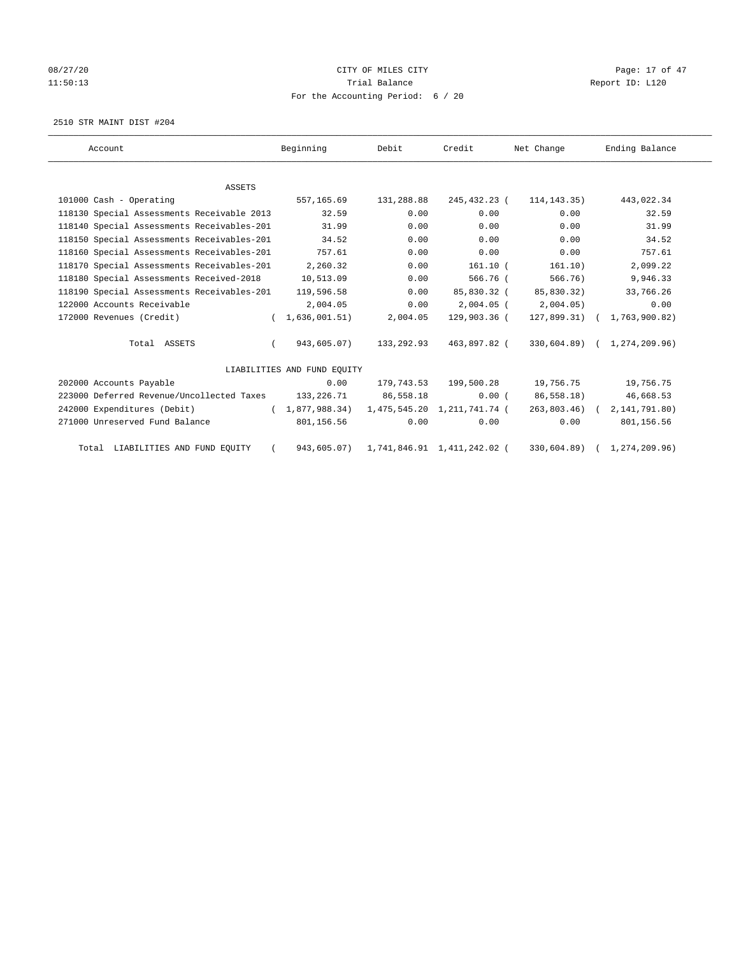# 08/27/20 Page: 17 of 47 11:50:13 Channel Balance Trial Balance Report ID: L120 For the Accounting Period: 6 / 20

2510 STR MAINT DIST #204

| Account                                    | Beginning                   | Debit      | Credit                       | Net Change     | Ending Balance              |
|--------------------------------------------|-----------------------------|------------|------------------------------|----------------|-----------------------------|
|                                            |                             |            |                              |                |                             |
| ASSETS                                     |                             |            |                              |                |                             |
| 101000 Cash - Operating                    | 557,165.69                  | 131,288.88 | 245,432.23 (                 | 114, 143. 35)  | 443,022.34                  |
| 118130 Special Assessments Receivable 2013 | 32.59                       | 0.00       | 0.00                         | 0.00           | 32.59                       |
| 118140 Special Assessments Receivables-201 | 31.99                       | 0.00       | 0.00                         | 0.00           | 31.99                       |
| 118150 Special Assessments Receivables-201 | 34.52                       | 0.00       | 0.00                         | 0.00           | 34.52                       |
| 118160 Special Assessments Receivables-201 | 757.61                      | 0.00       | 0.00                         | 0.00           | 757.61                      |
| 118170 Special Assessments Receivables-201 | 2,260.32                    | 0.00       | $161.10$ (                   | 161.10)        | 2,099.22                    |
| 118180 Special Assessments Received-2018   | 10,513.09                   | 0.00       | 566.76 (                     | 566.76         | 9,946.33                    |
| 118190 Special Assessments Receivables-201 | 119,596.58                  | 0.00       | 85,830.32 (                  | 85,830.32)     | 33,766.26                   |
| 122000 Accounts Receivable                 | 2,004.05                    | 0.00       | $2,004.05$ (                 | 2,004.05)      | 0.00                        |
| 172000 Revenues (Credit)                   | 1,636,001.51)<br>$\left($   | 2,004.05   | 129,903.36 (                 |                | 127,899.31) ( 1,763,900.82) |
| Total ASSETS                               | 943,605.07)                 | 133,292.93 | 463,897.82 (                 |                | 330,604.89) ( 1,274,209.96) |
|                                            | LIABILITIES AND FUND EQUITY |            |                              |                |                             |
| 202000 Accounts Payable                    | 0.00                        |            | 179,743.53 199,500.28        | 19,756.75      | 19,756.75                   |
| 223000 Deferred Revenue/Uncollected Taxes  | 133,226.71                  | 86,558.18  | 0.00(                        | 86,558.18)     | 46,668.53                   |
| 242000 Expenditures (Debit)                | (1,877,988.34)              |            | 1,475,545.20 1,211,741.74 (  | $263,803.46$ ( | 2,141,791.80)               |
| 271000 Unreserved Fund Balance             | 801,156.56                  | 0.00       | 0.00                         | 0.00           | 801,156.56                  |
| Total LIABILITIES AND FUND EOUITY          | 943,605.07)                 |            | 1,741,846.91  1,411,242.02 ( | 330,604.89)    | 1,274,209.96)               |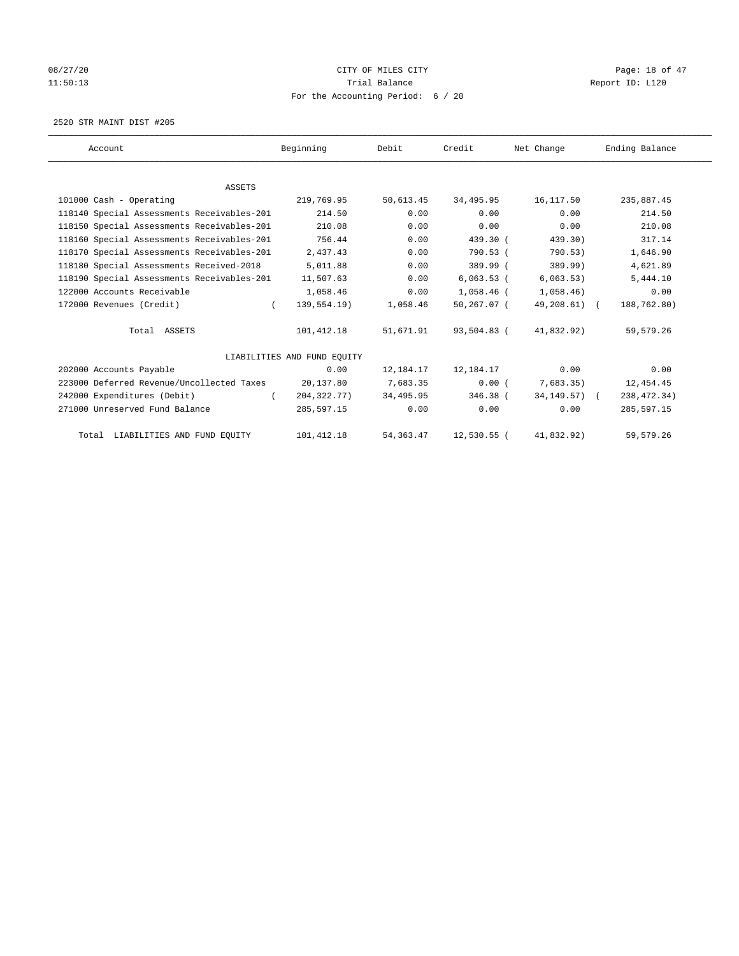# 08/27/20 Page: 18 of 47 11:50:13 Channel Balance Trial Balance Report ID: L120 For the Accounting Period: 6 / 20

2520 STR MAINT DIST #205

| Account                                    | Beginning                   | Debit      | Credit        | Net Change       | Ending Balance |
|--------------------------------------------|-----------------------------|------------|---------------|------------------|----------------|
|                                            |                             |            |               |                  |                |
| <b>ASSETS</b>                              |                             |            |               |                  |                |
| 101000 Cash - Operating                    | 219,769.95                  | 50,613.45  | 34,495.95     | 16,117.50        | 235,887.45     |
| 118140 Special Assessments Receivables-201 | 214.50                      | 0.00       | 0.00          | 0.00             | 214.50         |
| 118150 Special Assessments Receivables-201 | 210.08                      | 0.00       | 0.00          | 0.00             | 210.08         |
| 118160 Special Assessments Receivables-201 | 756.44                      | 0.00       | 439.30 (      | 439.30)          | 317.14         |
| 118170 Special Assessments Receivables-201 | 2,437.43                    | 0.00       | 790.53 (      | 790.53)          | 1,646.90       |
| 118180 Special Assessments Received-2018   | 5,011.88                    | 0.00       | 389.99 (      | 389.99)          | 4,621.89       |
| 118190 Special Assessments Receivables-201 | 11,507.63                   | 0.00       | 6,063.53(     | 6,063.53)        | 5,444.10       |
| 122000 Accounts Receivable                 | 1,058.46                    | 0.00       | 1,058.46 (    | 1,058.46)        | 0.00           |
| 172000 Revenues (Credit)                   | 139,554.19)<br>$\left($     | 1,058.46   | 50,267.07 (   | 49,208.61) (     | 188,762.80)    |
| Total ASSETS                               | 101,412.18                  | 51,671.91  | 93,504.83 (   | 41,832.92)       | 59,579.26      |
|                                            | LIABILITIES AND FUND EQUITY |            |               |                  |                |
| 202000 Accounts Payable                    | 0.00                        | 12,184.17  | 12,184.17     | 0.00             | 0.00           |
| 223000 Deferred Revenue/Uncollected Taxes  | 20,137.80                   | 7,683.35   | 0.00(         | 7,683.35)        | 12,454.45      |
| 242000 Expenditures (Debit)                | 204, 322, 77)               | 34,495.95  | $346.38$ (    | $34, 149.57$ ) ( | 238, 472.34)   |
| 271000 Unreserved Fund Balance             | 285,597.15                  | 0.00       | 0.00          | 0.00             | 285,597.15     |
| Total LIABILITIES AND FUND EQUITY          | 101, 412.18                 | 54, 363.47 | $12,530.55$ ( | 41,832.92)       | 59,579.26      |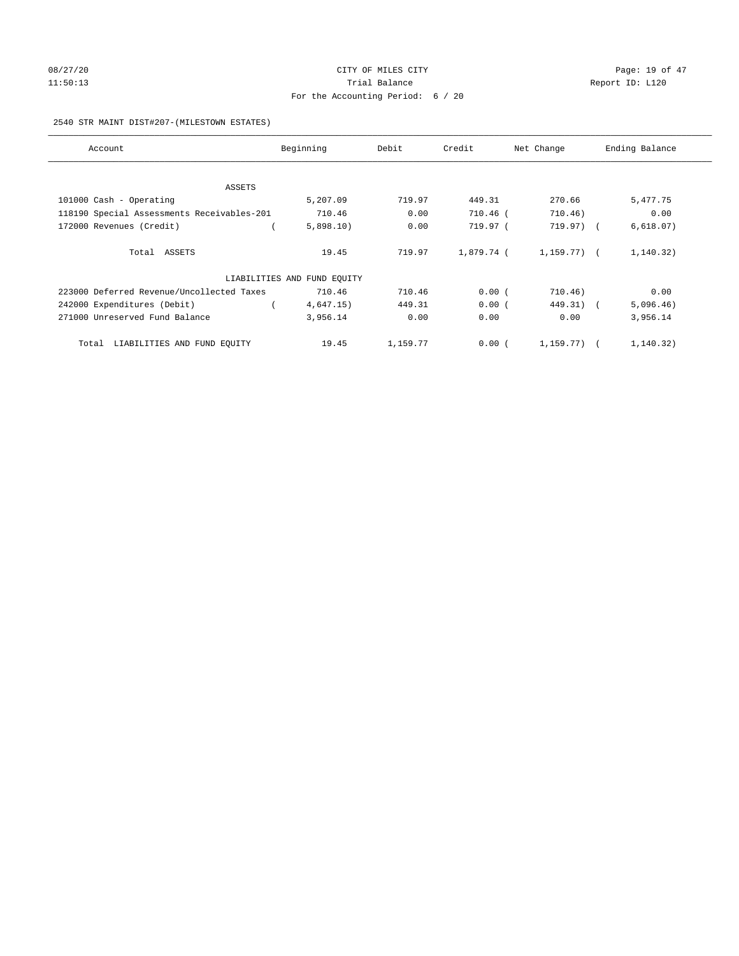# 08/27/20 Page: 19 of 47 11:50:13 Channel Balance Trial Balance Report ID: L120 For the Accounting Period: 6 / 20

#### 2540 STR MAINT DIST#207-(MILESTOWN ESTATES)

| Account                                    | Beginning                   | Debit    | Credit     | Net Change     | Ending Balance |
|--------------------------------------------|-----------------------------|----------|------------|----------------|----------------|
|                                            |                             |          |            |                |                |
| ASSETS<br>101000 Cash - Operating          | 5,207.09                    | 719.97   | 449.31     | 270.66         | 5,477.75       |
| 118190 Special Assessments Receivables-201 | 710.46                      | 0.00     | 710.46 (   | 710.46)        | 0.00           |
| 172000 Revenues (Credit)                   | 5,898.10)                   | 0.00     | 719.97 (   | 719.97) (      | 6,618.07)      |
|                                            |                             |          |            |                |                |
| Total ASSETS                               | 19.45                       | 719.97   | 1,879.74 ( | 1,159.77) (    | 1,140.32)      |
|                                            | LIABILITIES AND FUND EQUITY |          |            |                |                |
| 223000 Deferred Revenue/Uncollected Taxes  | 710.46                      | 710.46   | 0.00(      | 710.46)        | 0.00           |
| 242000 Expenditures (Debit)                | 4,647.15)                   | 449.31   | 0.00(      | 449.31) (      | 5,096.46)      |
| 271000 Unreserved Fund Balance             | 3,956.14                    | 0.00     | 0.00       | 0.00           | 3,956.14       |
| Total LIABILITIES AND FUND EQUITY          | 19.45                       | 1,159.77 | 0.00(      | $1.159.77$ ) ( | 1,140.32)      |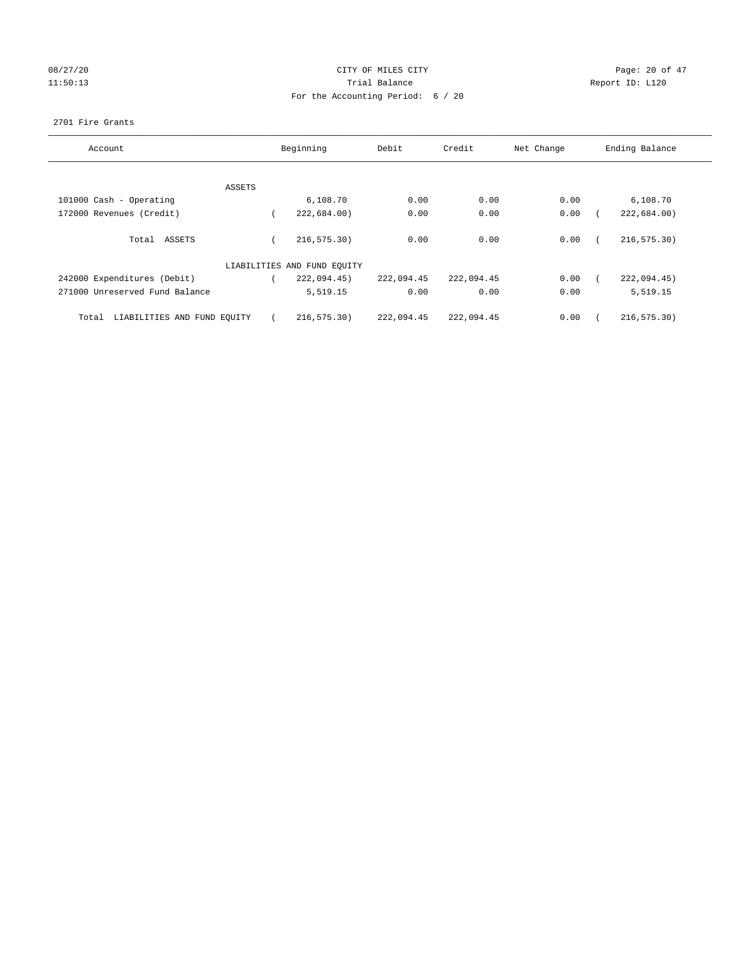# 08/27/20 Page: 20 of 47 11:50:13 Channel Balance Trial Balance Report ID: L120 For the Accounting Period: 6 / 20

#### 2701 Fire Grants

| Account                              | Beginning                   | Debit      | Credit     | Net Change | Ending Balance |
|--------------------------------------|-----------------------------|------------|------------|------------|----------------|
|                                      |                             |            |            |            |                |
| ASSETS                               |                             |            |            |            |                |
| 101000 Cash - Operating              | 6,108.70                    | 0.00       | 0.00       | 0.00       | 6,108.70       |
| 172000 Revenues (Credit)             | 222,684.00)                 | 0.00       | 0.00       | 0.00       | 222,684.00)    |
| Total ASSETS                         | 216, 575.30)                | 0.00       | 0.00       | 0.00       | 216, 575.30)   |
|                                      | LIABILITIES AND FUND EQUITY |            |            |            |                |
| 242000 Expenditures (Debit)          | 222,094.45)                 | 222,094.45 | 222,094.45 | 0.00       | 222,094.45)    |
| 271000 Unreserved Fund Balance       | 5,519.15                    | 0.00       | 0.00       | 0.00       | 5,519.15       |
| LIABILITIES AND FUND EQUITY<br>Total | 216, 575.30)                | 222,094.45 | 222,094.45 | 0.00       | 216, 575.30)   |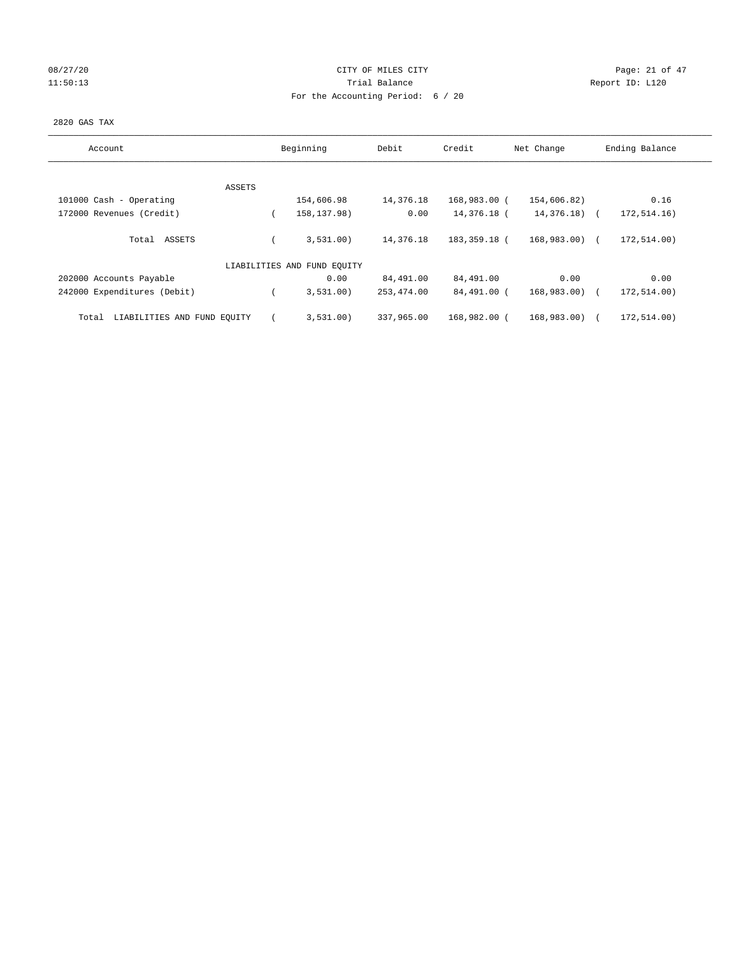# 08/27/20 Page: 21 of 47 11:50:13 Channel Balance Trial Balance Report ID: L120 For the Accounting Period: 6 / 20

#### 2820 GAS TAX

| Account                              | Beginning                   | Debit       | Credit       | Net Change     | Ending Balance |
|--------------------------------------|-----------------------------|-------------|--------------|----------------|----------------|
|                                      |                             |             |              |                |                |
| ASSETS<br>101000 Cash - Operating    | 154,606.98                  | 14,376.18   | 168,983.00 ( | 154,606.82)    | 0.16           |
| 172000 Revenues (Credit)             | 158, 137.98)                | 0.00        | 14,376.18 (  | $14,376.18$ (  | 172,514.16)    |
|                                      |                             |             |              |                |                |
| Total ASSETS                         | 3,531.00)                   | 14,376.18   | 183,359.18 ( | 168,983.00) (  | 172,514.00)    |
|                                      | LIABILITIES AND FUND EQUITY |             |              |                |                |
| 202000 Accounts Payable              | 0.00                        | 84,491.00   | 84,491.00    | 0.00           | 0.00           |
| 242000 Expenditures (Debit)          | 3,531.00)                   | 253, 474.00 | 84,491.00 (  | 168,983.00) (  | 172,514.00)    |
| LIABILITIES AND FUND EQUITY<br>Total | 3,531.00)                   | 337,965,00  | 168,982.00 ( | $168.983.00$ ( | 172,514.00)    |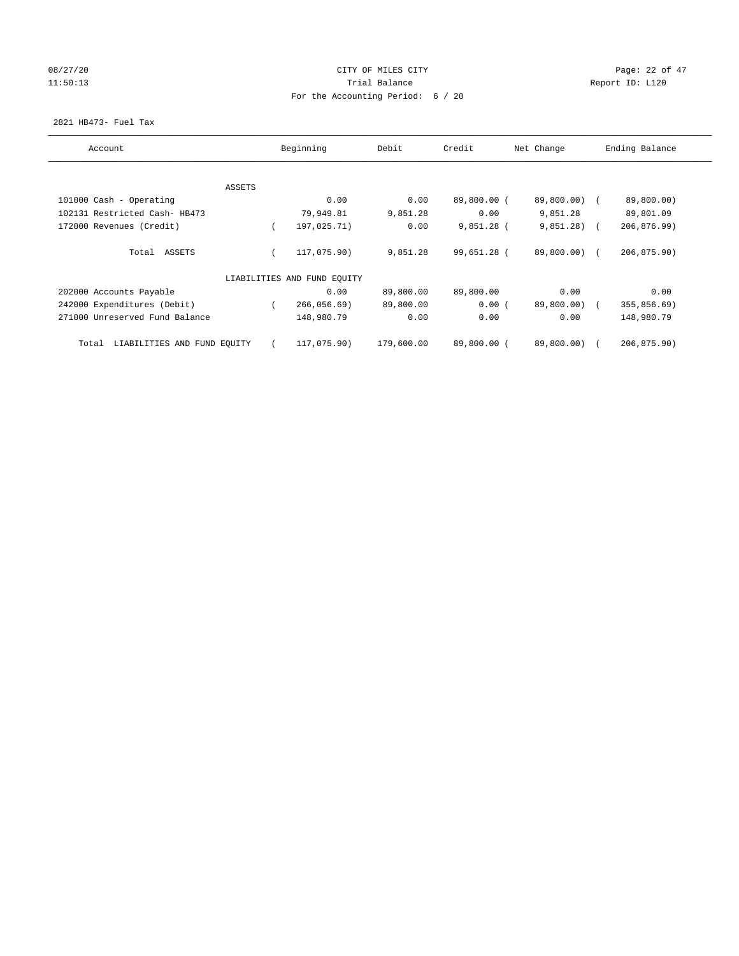# 08/27/20 Page: 22 of 47 11:50:13 Channel Balance Trial Balance Report ID: L120 For the Accounting Period: 6 / 20

## 2821 HB473- Fuel Tax

| Account                              |        | Beginning                   | Debit      | Credit      | Net Change   | Ending Balance |
|--------------------------------------|--------|-----------------------------|------------|-------------|--------------|----------------|
|                                      |        |                             |            |             |              |                |
|                                      | ASSETS |                             |            |             |              |                |
| 101000 Cash - Operating              |        | 0.00                        | 0.00       | 89,800.00 ( | 89,800.00) ( | 89,800.00)     |
| 102131 Restricted Cash- HB473        |        | 79,949.81                   | 9,851.28   | 0.00        | 9,851.28     | 89,801.09      |
| 172000 Revenues (Credit)             |        | 197,025.71)                 | 0.00       | 9,851.28 (  | 9,851,28)    | 206,876.99)    |
| Total ASSETS                         |        | 117,075.90)                 | 9,851.28   | 99,651.28 ( | 89,800.00) ( | 206, 875.90)   |
|                                      |        | LIABILITIES AND FUND EQUITY |            |             |              |                |
| 202000 Accounts Payable              |        | 0.00                        | 89,800.00  | 89,800.00   | 0.00         | 0.00           |
| 242000 Expenditures (Debit)          |        | 266,056.69)                 | 89,800.00  | 0.00(       | 89,800.00)   | 355,856.69)    |
| 271000 Unreserved Fund Balance       |        | 148,980.79                  | 0.00       | 0.00        | 0.00         | 148,980.79     |
| LIABILITIES AND FUND EQUITY<br>Total |        | 117,075.90)                 | 179,600.00 | 89,800.00 ( | 89,800.00)   | 206,875.90)    |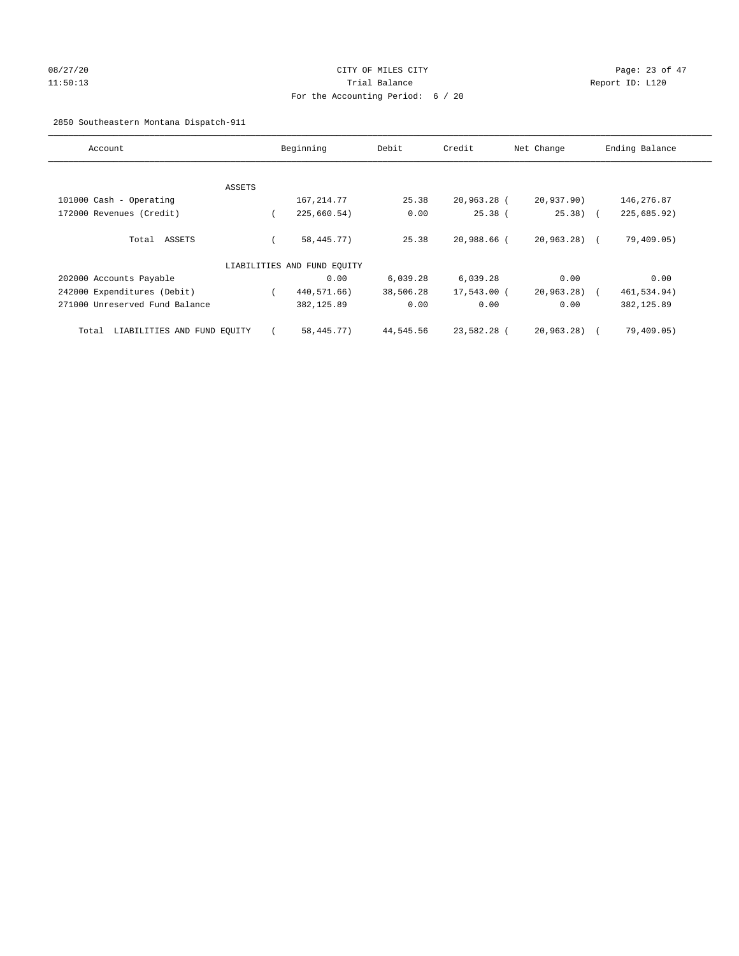# 08/27/20 Page: 23 of 47 11:50:13 Trial Balance Report ID: L120 For the Accounting Period: 6 / 20

# 2850 Southeastern Montana Dispatch-911

| Account                              |        | Beginning                   | Debit     | Credit      | Net Change    | Ending Balance |
|--------------------------------------|--------|-----------------------------|-----------|-------------|---------------|----------------|
|                                      |        |                             |           |             |               |                |
|                                      |        |                             |           |             |               |                |
|                                      | ASSETS |                             |           |             |               |                |
| 101000 Cash - Operating              |        | 167, 214.77                 | 25.38     | 20,963.28 ( | 20,937.90)    | 146,276.87     |
| 172000 Revenues (Credit)             |        | 225,660.54)                 | 0.00      | $25.38$ (   | $25.38$ (     | 225,685.92)    |
|                                      |        |                             |           |             |               |                |
| Total ASSETS                         |        | 58, 445. 77)                | 25.38     | 20,988.66 ( | $20,963.28$ ( | 79,409.05)     |
|                                      |        |                             |           |             |               |                |
|                                      |        | LIABILITIES AND FUND EQUITY |           |             |               |                |
| 202000 Accounts Payable              |        | 0.00                        | 6,039.28  | 6,039.28    | 0.00          | 0.00           |
| 242000 Expenditures (Debit)          |        | 440,571.66)                 | 38,506.28 | 17,543.00 ( | 20, 963.28)   | 461,534.94)    |
| 271000 Unreserved Fund Balance       |        | 382,125.89                  | 0.00      | 0.00        | 0.00          | 382, 125.89    |
|                                      |        |                             |           |             |               |                |
| LIABILITIES AND FUND EQUITY<br>Total |        | 58,445.77)                  | 44,545.56 | 23,582.28 ( | 20,963.28)    | 79,409.05)     |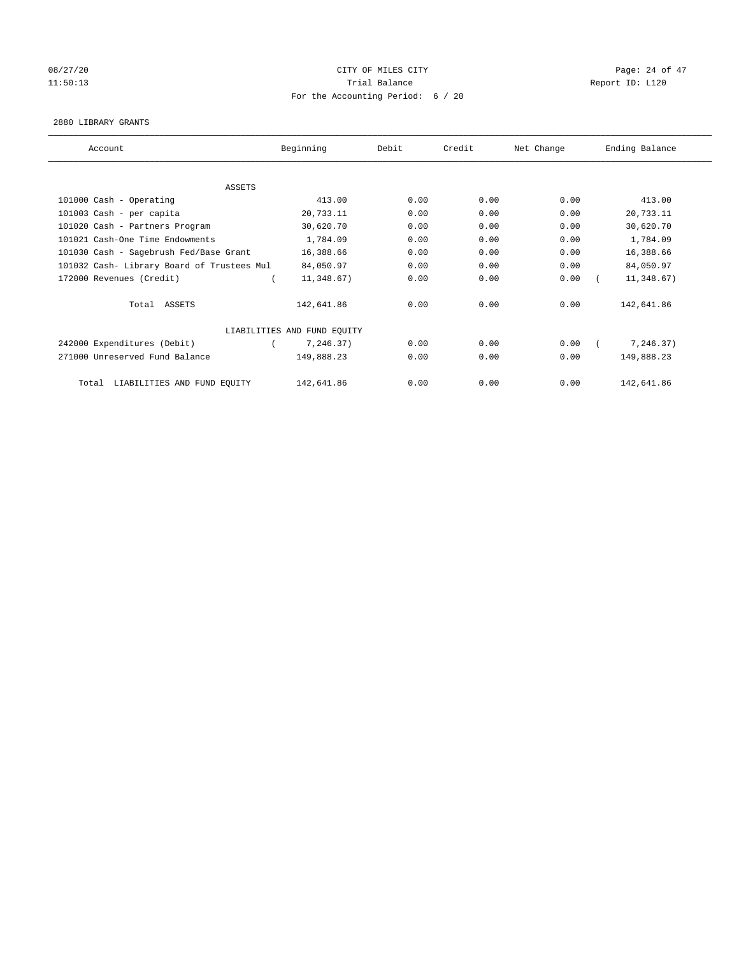# 08/27/20 Page: 24 of 47 11:50:13 Report ID: L120 For the Accounting Period: 6 / 20

#### 2880 LIBRARY GRANTS

| Account                                    | Beginning                   | Debit | Credit | Net Change | Ending Balance |
|--------------------------------------------|-----------------------------|-------|--------|------------|----------------|
|                                            |                             |       |        |            |                |
| <b>ASSETS</b>                              |                             |       |        |            |                |
| 101000 Cash - Operating                    | 413.00                      | 0.00  | 0.00   | 0.00       | 413.00         |
| 101003 Cash - per capita                   | 20,733.11                   | 0.00  | 0.00   | 0.00       | 20,733.11      |
| 101020 Cash - Partners Program             | 30,620.70                   | 0.00  | 0.00   | 0.00       | 30,620.70      |
| 101021 Cash-One Time Endowments            | 1,784.09                    | 0.00  | 0.00   | 0.00       | 1,784.09       |
| 101030 Cash - Sagebrush Fed/Base Grant     | 16,388.66                   | 0.00  | 0.00   | 0.00       | 16,388.66      |
| 101032 Cash- Library Board of Trustees Mul | 84,050.97                   | 0.00  | 0.00   | 0.00       | 84,050.97      |
| 172000 Revenues (Credit)                   | 11,348.67)                  | 0.00  | 0.00   | 0.00       | 11,348.67)     |
| Total ASSETS                               | 142,641.86                  | 0.00  | 0.00   | 0.00       | 142,641.86     |
|                                            | LIABILITIES AND FUND EQUITY |       |        |            |                |
| 242000 Expenditures (Debit)                | 7,246.37)                   | 0.00  | 0.00   | 0.00       | 7,246.37)      |
| 271000 Unreserved Fund Balance             | 149,888.23                  | 0.00  | 0.00   | 0.00       | 149,888.23     |
| LIABILITIES AND FUND EQUITY<br>Total       | 142,641.86                  | 0.00  | 0.00   | 0.00       | 142,641.86     |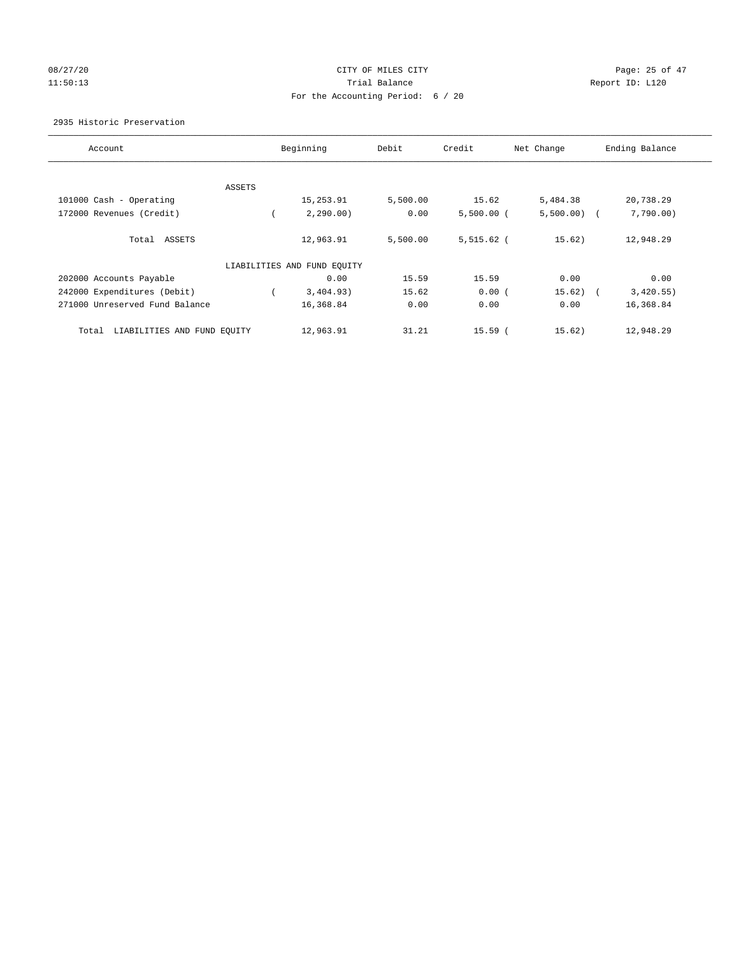# 08/27/20 Page: 25 of 47 11:50:13 Channel Balance Trial Balance Report ID: L120 For the Accounting Period: 6 / 20

## 2935 Historic Preservation

| Account                              |        | Beginning                   | Debit    | Credit       | Net Change    | Ending Balance          |
|--------------------------------------|--------|-----------------------------|----------|--------------|---------------|-------------------------|
|                                      |        |                             |          |              |               |                         |
|                                      | ASSETS |                             |          |              |               |                         |
| 101000 Cash - Operating              |        | 15,253.91                   | 5,500.00 | 15.62        | 5,484.38      | 20,738.29               |
| 172000 Revenues (Credit)             |        | 2,290.00)                   | 0.00     | $5,500.00$ ( | $5,500.00)$ ( | 7,790.00)               |
| Total ASSETS                         |        | 12,963.91                   | 5,500.00 | $5,515.62$ ( | 15.62)        | 12,948.29               |
|                                      |        | LIABILITIES AND FUND EQUITY |          |              |               |                         |
| 202000 Accounts Payable              |        | 0.00                        | 15.59    | 15.59        | 0.00          | 0.00                    |
| 242000 Expenditures (Debit)          |        | 3,404.93)                   | 15.62    | 0.00(        | 15.62)        | 3,420.55)<br>$\sqrt{2}$ |
| 271000 Unreserved Fund Balance       |        | 16,368.84                   | 0.00     | 0.00         | 0.00          | 16,368.84               |
| LIABILITIES AND FUND EQUITY<br>Total |        | 12,963.91                   | 31.21    | $15.59$ (    | 15.62)        | 12,948.29               |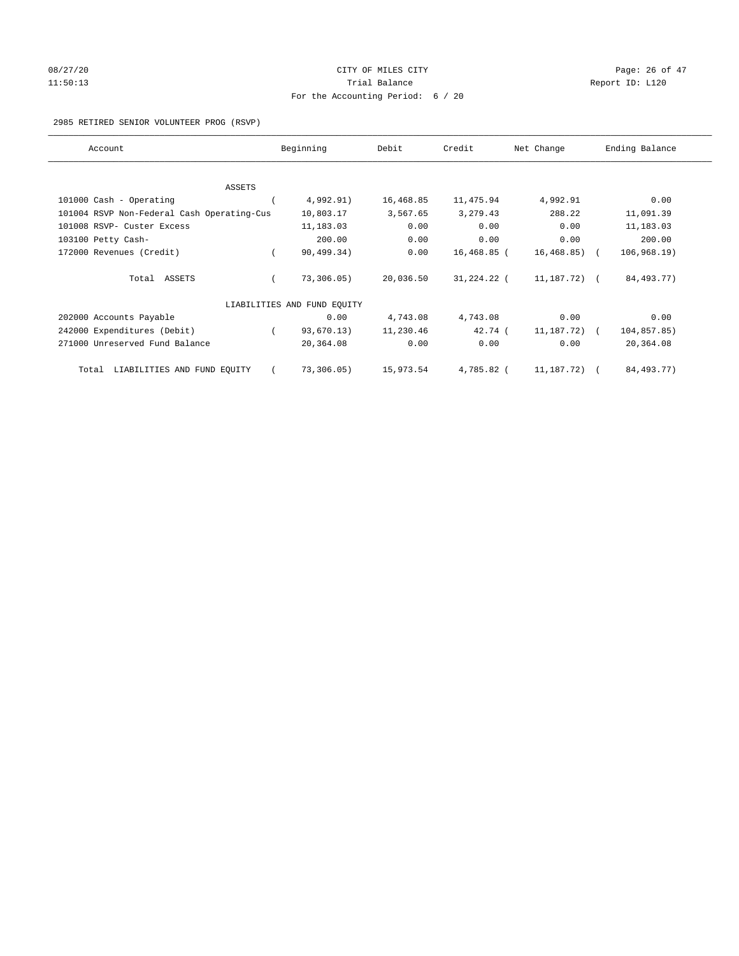# 08/27/20 Page: 26 of 47 11:50:13 Report ID: L120 For the Accounting Period: 6 / 20

2985 RETIRED SENIOR VOLUNTEER PROG (RSVP)

| Account                                    | Beginning                   | Debit     | Credit      | Net Change       | Ending Balance |
|--------------------------------------------|-----------------------------|-----------|-------------|------------------|----------------|
|                                            |                             |           |             |                  |                |
| <b>ASSETS</b>                              |                             |           |             |                  |                |
| 101000 Cash - Operating                    | 4,992.91)                   | 16,468.85 | 11,475.94   | 4,992.91         | 0.00           |
| 101004 RSVP Non-Federal Cash Operating-Cus | 10,803.17                   | 3,567.65  | 3,279.43    | 288.22           | 11,091.39      |
| 101008 RSVP- Custer Excess                 | 11,183.03                   | 0.00      | 0.00        | 0.00             | 11,183.03      |
| 103100 Petty Cash-                         | 200.00                      | 0.00      | 0.00        | 0.00             | 200.00         |
| 172000 Revenues (Credit)                   | 90, 499.34)                 | 0.00      | 16,468.85 ( | 16, 468.85)      | 106, 968, 19)  |
| Total ASSETS                               | 73,306.05)                  | 20,036.50 | 31,224.22 ( | 11,187.72) (     | 84, 493. 77)   |
|                                            | LIABILITIES AND FUND EQUITY |           |             |                  |                |
| 202000 Accounts Payable                    | 0.00                        | 4,743.08  | 4,743.08    | 0.00             | 0.00           |
| 242000 Expenditures (Debit)                | 93,670.13)                  | 11,230.46 | 42.74(      | $11, 187, 72)$ ( | 104,857.85)    |
| 271000 Unreserved Fund Balance             | 20,364.08                   | 0.00      | 0.00        | 0.00             | 20,364.08      |
| LIABILITIES AND FUND EQUITY<br>Total       | 73,306.05)                  | 15,973.54 | 4,785.82 (  | 11,187.72) (     | 84,493.77)     |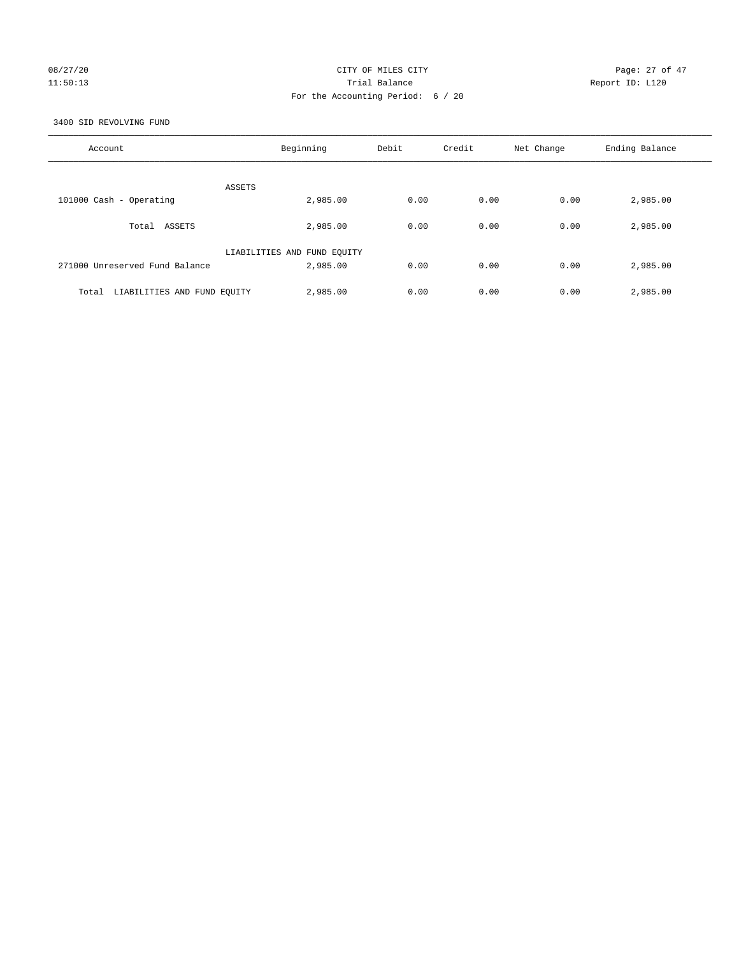# 08/27/20 Page: 27 of 47 11:50:13 Trial Balance Report ID: L120 For the Accounting Period: 6 / 20

3400 SID REVOLVING FUND

| Account                              | Beginning                   | Debit | Credit | Net Change | Ending Balance |
|--------------------------------------|-----------------------------|-------|--------|------------|----------------|
| ASSETS                               |                             |       |        |            |                |
| 101000 Cash - Operating              | 2,985.00                    | 0.00  | 0.00   | 0.00       | 2,985.00       |
| Total ASSETS                         | 2,985.00                    | 0.00  | 0.00   | 0.00       | 2,985.00       |
|                                      | LIABILITIES AND FUND EQUITY |       |        |            |                |
| 271000 Unreserved Fund Balance       | 2,985.00                    | 0.00  | 0.00   | 0.00       | 2,985.00       |
| LIABILITIES AND FUND EQUITY<br>Total | 2,985.00                    | 0.00  | 0.00   | 0.00       | 2,985.00       |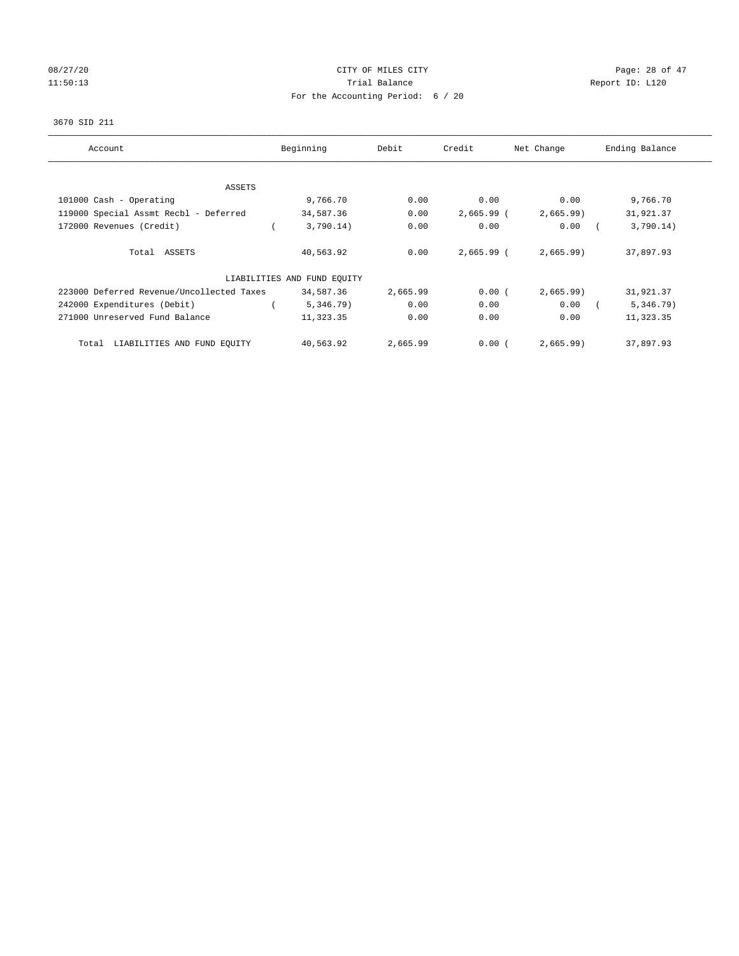# 08/27/20 Page: 28 of 47 11:50:13 Channel Balance Trial Balance Report ID: L120 For the Accounting Period: 6 / 20

#### 3670 SID 211

| Account                                   | Beginning                   | Debit    | Credit       | Net Change | Ending Balance |
|-------------------------------------------|-----------------------------|----------|--------------|------------|----------------|
|                                           |                             |          |              |            |                |
| ASSETS                                    |                             |          |              |            |                |
| 101000 Cash - Operating                   | 9,766.70                    | 0.00     | 0.00         | 0.00       | 9,766.70       |
| 119000 Special Assmt Recbl - Deferred     | 34,587.36                   | 0.00     | $2,665.99$ ( | 2,665.99   | 31,921.37      |
| 172000 Revenues (Credit)                  | 3,790.14)                   | 0.00     | 0.00         | 0.00       | 3,790.14)      |
| Total ASSETS                              | 40,563.92                   | 0.00     | $2,665.99$ ( | 2,665.99   | 37,897.93      |
|                                           | LIABILITIES AND FUND EQUITY |          |              |            |                |
| 223000 Deferred Revenue/Uncollected Taxes | 34,587.36                   | 2,665.99 | 0.00(        | 2,665.99   | 31,921.37      |
| 242000 Expenditures (Debit)               | 5,346.79)                   | 0.00     | 0.00         | 0.00       | 5,346.79)      |
| 271000 Unreserved Fund Balance            | 11,323.35                   | 0.00     | 0.00         | 0.00       | 11,323.35      |
| LIABILITIES AND FUND EQUITY<br>Total      | 40,563.92                   | 2,665.99 | 0.00(        | 2,665.99)  | 37,897.93      |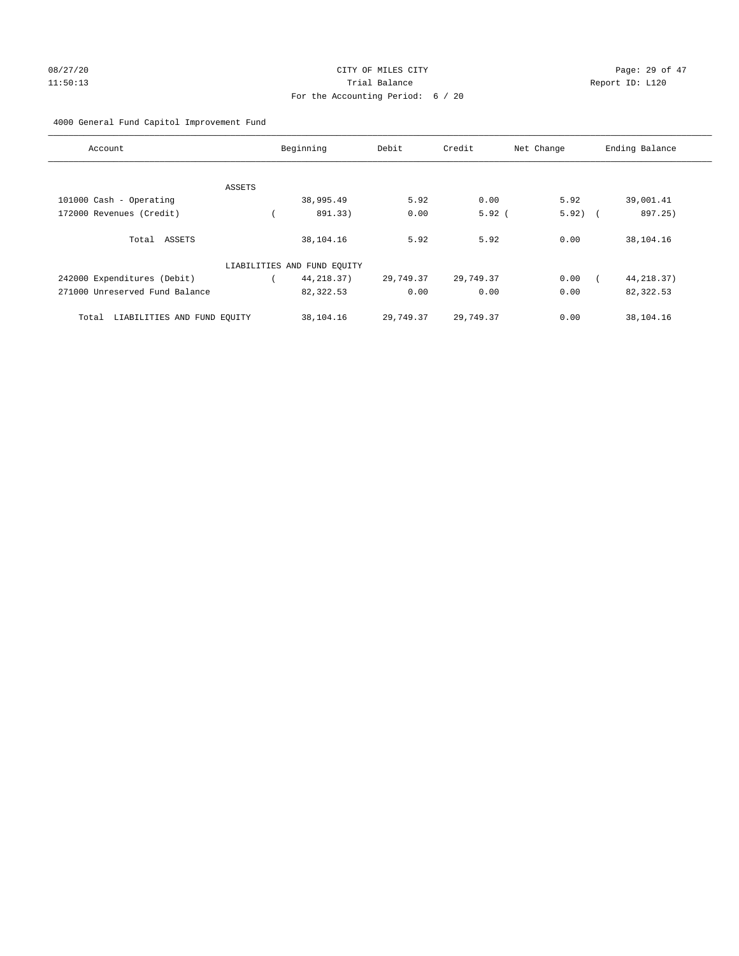# 08/27/20 Page: 29 of 47 11:50:13 Trial Balance Report ID: L120 For the Accounting Period: 6 / 20

# 4000 General Fund Capitol Improvement Fund

| Account                              | Beginning                   | Debit     | Credit    | Net Change | Ending Balance |
|--------------------------------------|-----------------------------|-----------|-----------|------------|----------------|
| ASSETS                               |                             |           |           |            |                |
| 101000 Cash - Operating              | 38,995.49                   | 5.92      | 0.00      | 5.92       | 39,001.41      |
| 172000 Revenues (Credit)             | 891.33)                     | 0.00      | $5.92$ (  | $5.92)$ (  | 897.25)        |
| Total ASSETS                         | 38,104.16                   | 5.92      | 5.92      | 0.00       | 38,104.16      |
|                                      | LIABILITIES AND FUND EQUITY |           |           |            |                |
| 242000 Expenditures (Debit)          | 44, 218. 37)                | 29,749.37 | 29,749.37 | 0.00       | 44, 218.37)    |
| 271000 Unreserved Fund Balance       | 82, 322.53                  | 0.00      | 0.00      | 0.00       | 82,322.53      |
| LIABILITIES AND FUND EQUITY<br>Total | 38,104.16                   | 29,749.37 | 29,749.37 | 0.00       | 38,104.16      |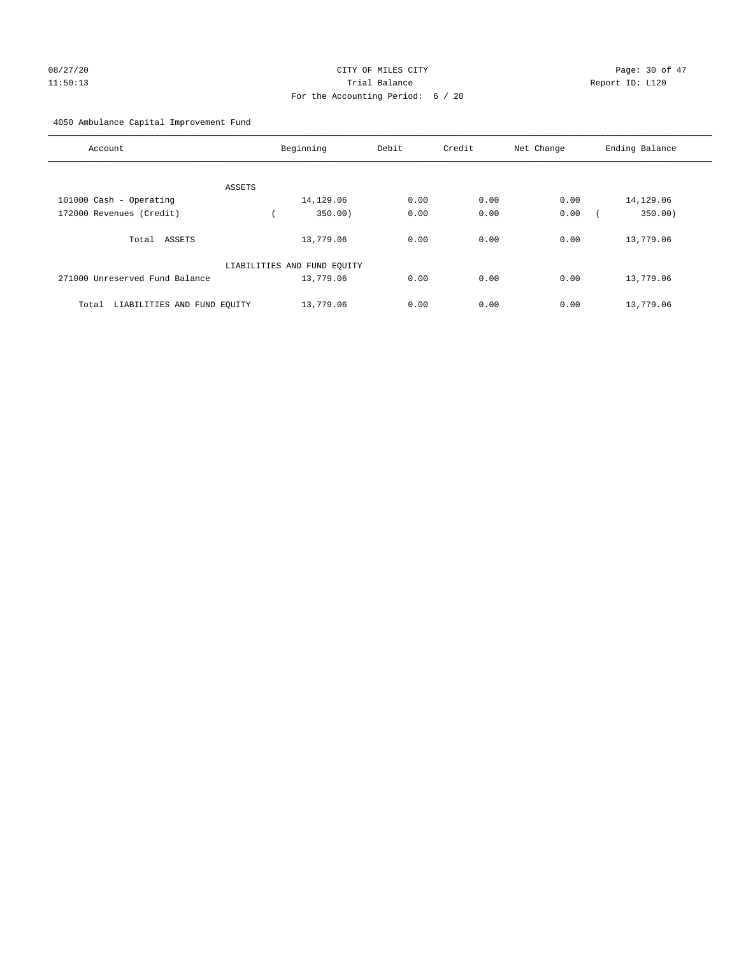# 08/27/20 Page: 30 of 47 11:50:13 Trial Balance Report ID: L120 For the Accounting Period: 6 / 20

4050 Ambulance Capital Improvement Fund

| Account                              | Beginning                   | Debit | Credit | Net Change | Ending Balance |
|--------------------------------------|-----------------------------|-------|--------|------------|----------------|
| ASSETS                               |                             |       |        |            |                |
| 101000 Cash - Operating              | 14,129.06                   | 0.00  | 0.00   | 0.00       | 14,129.06      |
| 172000 Revenues (Credit)             | 350.00                      | 0.00  | 0.00   | 0.00       | 350.00)        |
| Total ASSETS                         | 13,779.06                   | 0.00  | 0.00   | 0.00       | 13,779.06      |
|                                      | LIABILITIES AND FUND EQUITY |       |        |            |                |
| 271000 Unreserved Fund Balance       | 13,779.06                   | 0.00  | 0.00   | 0.00       | 13,779.06      |
| LIABILITIES AND FUND EQUITY<br>Total | 13,779.06                   | 0.00  | 0.00   | 0.00       | 13,779.06      |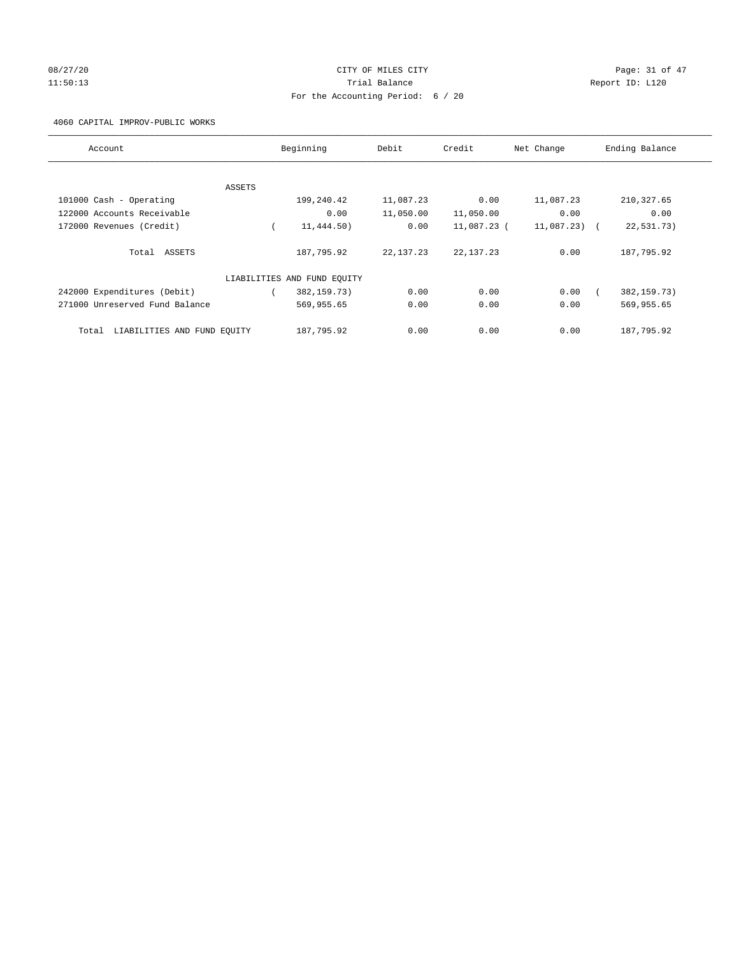# 08/27/20 Page: 31 of 47 11:50:13 Trial Balance Report ID: L120 For the Accounting Period: 6 / 20

4060 CAPITAL IMPROV-PUBLIC WORKS

| Account                              |        | Beginning                   | Debit       | Credit      | Net Change    | Ending Balance |
|--------------------------------------|--------|-----------------------------|-------------|-------------|---------------|----------------|
|                                      |        |                             |             |             |               |                |
|                                      | ASSETS |                             |             |             |               |                |
| 101000 Cash - Operating              |        | 199,240.42                  | 11,087.23   | 0.00        | 11,087.23     | 210, 327.65    |
| 122000 Accounts Receivable           |        | 0.00                        | 11,050.00   | 11,050.00   | 0.00          | 0.00           |
| 172000 Revenues (Credit)             |        | 11,444.50)                  | 0.00        | 11,087.23 ( | $11,087,23$ ( | 22,531.73)     |
| Total ASSETS                         |        | 187,795.92                  | 22, 137. 23 | 22, 137. 23 | 0.00          | 187,795.92     |
|                                      |        | LIABILITIES AND FUND EQUITY |             |             |               |                |
| 242000 Expenditures (Debit)          |        | 382,159.73)                 | 0.00        | 0.00        | 0.00          | 382, 159. 73)  |
| 271000 Unreserved Fund Balance       |        | 569,955.65                  | 0.00        | 0.00        | 0.00          | 569,955.65     |
| LIABILITIES AND FUND EQUITY<br>Total |        | 187,795.92                  | 0.00        | 0.00        | 0.00          | 187,795.92     |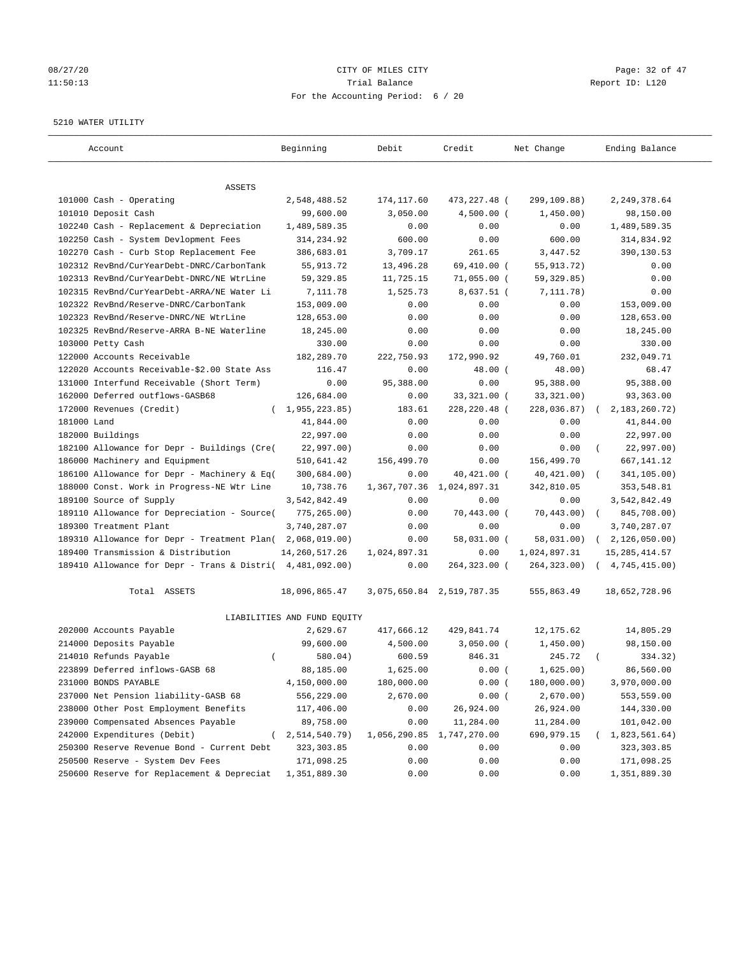# 08/27/20 Page: 32 of 47 11:50:13 Channel Balance Trial Balance Report ID: L120 For the Accounting Period: 6 / 20

#### 5210 WATER UTILITY

| Account                                                   | Beginning                   | Debit        | Credit                    | Net Change   | Ending Balance            |
|-----------------------------------------------------------|-----------------------------|--------------|---------------------------|--------------|---------------------------|
| ASSETS                                                    |                             |              |                           |              |                           |
| 101000 Cash - Operating                                   | 2,548,488.52                | 174,117.60   | 473,227.48 (              | 299,109.88)  | 2, 249, 378.64            |
| 101010 Deposit Cash                                       | 99,600.00                   | 3,050.00     | $4,500.00$ (              | 1,450.00)    | 98,150.00                 |
| 102240 Cash - Replacement & Depreciation                  | 1,489,589.35                | 0.00         | 0.00                      | 0.00         | 1,489,589.35              |
| 102250 Cash - System Devlopment Fees                      | 314,234.92                  | 600.00       | 0.00                      | 600.00       | 314,834.92                |
| 102270 Cash - Curb Stop Replacement Fee                   | 386,683.01                  | 3,709.17     | 261.65                    | 3,447.52     | 390,130.53                |
| 102312 RevBnd/CurYearDebt-DNRC/CarbonTank                 | 55, 913. 72                 | 13,496.28    | 69,410.00 (               | 55, 913. 72) | 0.00                      |
| 102313 RevBnd/CurYearDebt-DNRC/NE WtrLine                 | 59, 329.85                  | 11,725.15    | $71,055.00$ (             | 59, 329.85)  | 0.00                      |
| 102315 RevBnd/CurYearDebt-ARRA/NE Water Li                | 7,111.78                    | 1,525.73     | 8,637.51 (                | 7, 111.78)   | 0.00                      |
| 102322 RevBnd/Reserve-DNRC/CarbonTank                     | 153,009.00                  | 0.00         | 0.00                      | 0.00         | 153,009.00                |
| 102323 RevBnd/Reserve-DNRC/NE WtrLine                     | 128,653.00                  | 0.00         | 0.00                      | 0.00         | 128,653.00                |
| 102325 RevBnd/Reserve-ARRA B-NE Waterline                 | 18,245.00                   | 0.00         | 0.00                      | 0.00         | 18,245.00                 |
| 103000 Petty Cash                                         | 330.00                      | 0.00         | 0.00                      | 0.00         | 330.00                    |
| 122000 Accounts Receivable                                | 182,289.70                  | 222,750.93   | 172,990.92                | 49,760.01    | 232,049.71                |
| 122020 Accounts Receivable-\$2.00 State Ass               | 116.47                      | 0.00         | $48.00$ (                 | 48.00)       | 68.47                     |
| 131000 Interfund Receivable (Short Term)                  | 0.00                        | 95,388.00    | 0.00                      | 95,388.00    | 95,388.00                 |
| 162000 Deferred outflows-GASB68                           | 126,684.00                  | 0.00         | 33,321.00 (               | 33, 321.00)  | 93,363.00                 |
| 172000 Revenues (Credit)                                  | (1, 955, 223.85)            | 183.61       | 228,220.48 (              | 228,036.87)  | 2, 183, 260. 72)          |
| 181000 Land                                               | 41,844.00                   | 0.00         | 0.00                      | 0.00         | 41,844.00                 |
| 182000 Buildings                                          | 22,997.00                   | 0.00         | 0.00                      | 0.00         | 22,997.00                 |
| 182100 Allowance for Depr - Buildings (Cre(               | 22,997.00)                  | 0.00         | 0.00                      | 0.00         | 22,997.00)                |
| 186000 Machinery and Equipment                            | 510,641.42                  | 156,499.70   | 0.00                      | 156,499.70   | 667, 141. 12              |
| 186100 Allowance for Depr - Machinery & Eq(               | 300,684.00)                 | 0.00         | 40,421.00 (               | 40, 421.00)  | 341,105.00)               |
| 188000 Const. Work in Progress-NE Wtr Line                | 10,738.76                   | 1,367,707.36 | 1,024,897.31              | 342,810.05   | 353,548.81                |
| 189100 Source of Supply                                   | 3,542,842.49                | 0.00         | 0.00                      | 0.00         | 3,542,842.49              |
| 189110 Allowance for Depreciation - Source(               | 775, 265.00)                | 0.00         | $70,443.00$ (             | 70, 443.00)  | 845,708.00)<br>$\sqrt{2}$ |
| 189300 Treatment Plant                                    | 3,740,287.07                | 0.00         | 0.00                      | 0.00         | 3,740,287.07              |
| 189310 Allowance for Depr - Treatment Plan(               | 2,068,019.00)               | 0.00         | 58,031.00 (               | 58,031.00)   | 2,126,050.00)<br>$\left($ |
| 189400 Transmission & Distribution                        | 14, 260, 517. 26            | 1,024,897.31 | 0.00                      | 1,024,897.31 | 15, 285, 414.57           |
| 189410 Allowance for Depr - Trans & Distri( 4,481,092.00) |                             | 0.00         | 264,323.00 (              | 264, 323.00) | (4, 745, 415.00)          |
| Total ASSETS                                              | 18,096,865.47               |              | 3,075,650.84 2,519,787.35 | 555,863.49   | 18,652,728.96             |
|                                                           | LIABILITIES AND FUND EQUITY |              |                           |              |                           |
| 202000 Accounts Payable                                   | 2,629.67                    | 417,666.12   | 429,841.74                | 12, 175.62   | 14,805.29                 |
| 214000 Deposits Payable                                   | 99,600.00                   | 4,500.00     | $3,050.00$ (              | 1,450.00)    | 98,150.00                 |
| 214010 Refunds Payable<br>$\left($                        | 580.04)                     | 600.59       | 846.31                    | 245.72       | 334.32)                   |
| 223899 Deferred inflows-GASB 68                           | 88,185.00                   | 1,625.00     | 0.00(                     | 1,625.00)    | 86,560.00                 |
| 231000 BONDS PAYABLE                                      | 4,150,000.00                | 180,000.00   | 0.00(                     | 180,000.00)  | 3,970,000.00              |
| 237000 Net Pension liability-GASB 68                      | 556,229.00                  | 2,670.00     | 0.00(                     | 2,670.00)    | 553,559.00                |
| 238000 Other Post Employment Benefits                     | 117,406.00                  | 0.00         | 26,924.00                 | 26,924.00    | 144,330.00                |
| 239000 Compensated Absences Payable                       | 89,758.00                   | 0.00         | 11,284.00                 | 11,284.00    | 101,042.00                |
| 242000 Expenditures (Debit)                               | 2,514,540.79)               | 1,056,290.85 | 1,747,270.00              | 690,979.15   | (1,823,561.64)            |
| 250300 Reserve Revenue Bond - Current Debt                | 323, 303.85                 | 0.00         | 0.00                      | 0.00         | 323, 303.85               |
| 250500 Reserve - System Dev Fees                          | 171,098.25                  | 0.00         | 0.00                      | 0.00         | 171,098.25                |
| 250600 Reserve for Replacement & Depreciat                | 1,351,889.30                | 0.00         | 0.00                      | 0.00         | 1,351,889.30              |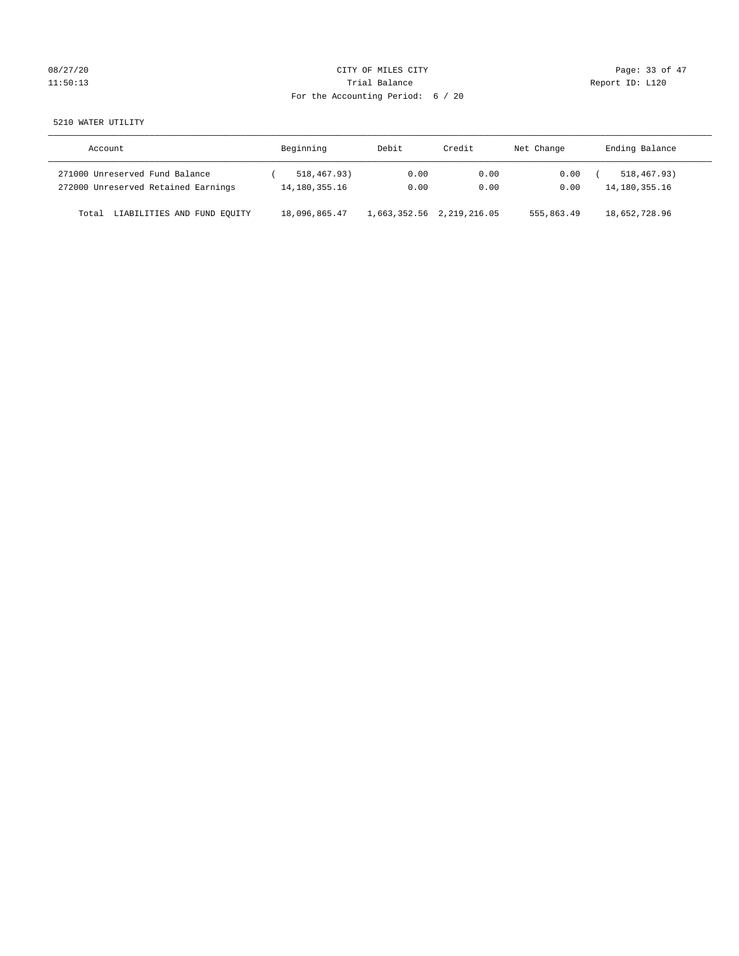# 08/27/20 Page: 33 of 47 11:50:13 Channel Balance Trial Balance Report ID: L120 For the Accounting Period: 6 / 20

5210 WATER UTILITY

| Account                              | Beginning     | Debit                     | Credit | Net Change | Ending Balance   |
|--------------------------------------|---------------|---------------------------|--------|------------|------------------|
| 271000 Unreserved Fund Balance       | 518,467.93)   | 0.00                      | 0.00   | 0.00       | 518, 467. 93)    |
| 272000 Unreserved Retained Earnings  | 14,180,355.16 | 0.00                      | 0.00   | 0.00       | 14, 180, 355. 16 |
| LIABILITIES AND FUND EQUITY<br>Total | 18,096,865.47 | 1,663,352.56 2,219,216.05 |        | 555,863.49 | 18,652,728.96    |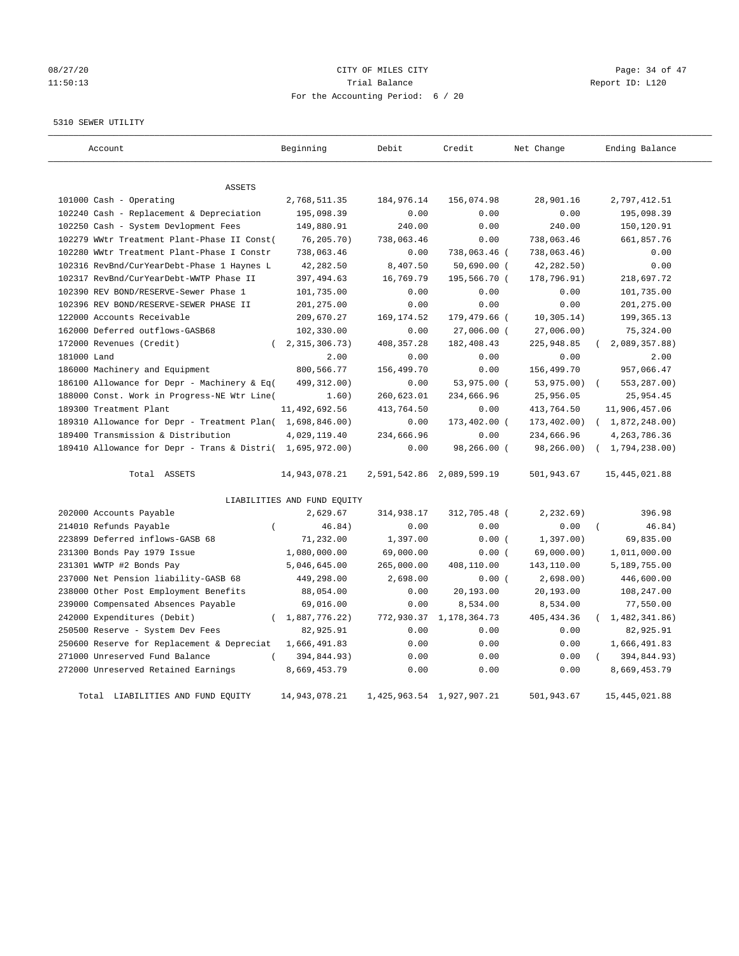# 08/27/20 Page: 34 of 47 11:50:13 Channel Balance Trial Balance Report ID: L120 For the Accounting Period: 6 / 20

## 5310 SEWER UTILITY

| Account                                                   | Beginning                   | Debit                     | Credit                    | Net Change  | Ending Balance          |
|-----------------------------------------------------------|-----------------------------|---------------------------|---------------------------|-------------|-------------------------|
| <b>ASSETS</b>                                             |                             |                           |                           |             |                         |
| 101000 Cash - Operating                                   | 2,768,511.35                | 184,976.14                | 156,074.98                | 28,901.16   | 2,797,412.51            |
| 102240 Cash - Replacement & Depreciation                  | 195,098.39                  | 0.00                      | 0.00                      | 0.00        | 195,098.39              |
| 102250 Cash - System Devlopment Fees                      | 149,880.91                  | 240.00                    | 0.00                      | 240.00      | 150,120.91              |
| 102279 WWtr Treatment Plant-Phase II Const(               | 76, 205.70)                 | 738,063.46                | 0.00                      | 738,063.46  | 661,857.76              |
| 102280 WWtr Treatment Plant-Phase I Constr                | 738,063.46                  | 0.00                      | 738,063.46 (              | 738,063.46) | 0.00                    |
| 102316 RevBnd/CurYearDebt-Phase 1 Haynes L                | 42,282.50                   | 8,407.50                  | $50,690.00$ (             | 42,282.50)  | 0.00                    |
| 102317 RevBnd/CurYearDebt-WWTP Phase II                   | 397,494.63                  | 16,769.79                 | 195,566.70 (              | 178,796.91) | 218,697.72              |
| 102390 REV BOND/RESERVE-Sewer Phase 1                     | 101,735.00                  | 0.00                      | 0.00                      | 0.00        | 101,735.00              |
| 102396 REV BOND/RESERVE-SEWER PHASE II                    | 201,275.00                  | 0.00                      | 0.00                      | 0.00        | 201,275.00              |
| 122000 Accounts Receivable                                | 209,670.27                  | 169, 174.52               | 179,479.66 (              | 10, 305.14) | 199, 365. 13            |
| 162000 Deferred outflows-GASB68                           | 102,330.00                  | 0.00                      | 27,006.00 (               | 27,006.00)  | 75,324.00               |
| 172000 Revenues (Credit)                                  | 2, 315, 306. 73)            | 408, 357.28               | 182,408.43                | 225,948.85  | 2,089,357.88)           |
| 181000 Land                                               | 2.00                        | 0.00                      | 0.00                      | 0.00        | 2.00                    |
| 186000 Machinery and Equipment                            | 800,566.77                  | 156,499.70                | 0.00                      | 156,499.70  | 957,066.47              |
| 186100 Allowance for Depr - Machinery & Eq(               | 499, 312.00)                | 0.00                      | 53,975.00 (               | 53,975.00)  | 553,287.00)             |
| 188000 Const. Work in Progress-NE Wtr Line(               | 1.60)                       | 260,623.01                | 234,666.96                | 25,956.05   | 25,954.45               |
| 189300 Treatment Plant                                    | 11,492,692.56               | 413,764.50                | 0.00                      | 413,764.50  | 11,906,457.06           |
| 189310 Allowance for Depr - Treatment Plan( 1,698,846.00) |                             | 0.00                      | 173,402.00 (              | 173,402.00) | (1,872,248.00)          |
| 189400 Transmission & Distribution                        | 4,029,119.40                | 234,666.96                | 0.00                      | 234,666.96  | 4, 263, 786.36          |
| 189410 Allowance for Depr - Trans & Distri( 1,695,972.00) |                             | 0.00                      | 98,266.00 (               | 98,266.00)  | (1, 794, 238.00)        |
|                                                           |                             |                           |                           |             |                         |
| Total ASSETS                                              | 14,943,078.21               |                           | 2,591,542.86 2,089,599.19 | 501,943.67  | 15, 445, 021.88         |
|                                                           | LIABILITIES AND FUND EQUITY |                           |                           |             |                         |
| 202000 Accounts Payable                                   | 2,629.67                    | 314,938.17                | 312,705.48 (              | 2, 232.69)  | 396.98                  |
| 214010 Refunds Payable<br>$\left($                        | 46.84)                      | 0.00                      | 0.00                      | 0.00        | 46.84)<br>$\left($      |
| 223899 Deferred inflows-GASB 68                           | 71,232.00                   | 1,397.00                  | 0.00(                     | 1,397.00)   | 69,835.00               |
| 231300 Bonds Pay 1979 Issue                               | 1,080,000.00                | 69,000.00                 | 0.00(                     | 69,000.00)  | 1,011,000.00            |
| 231301 WWTP #2 Bonds Pay                                  | 5,046,645.00                | 265,000.00                | 408,110.00                | 143,110.00  | 5,189,755.00            |
| 237000 Net Pension liability-GASB 68                      | 449,298.00                  | 2,698.00                  | 0.00(                     | 2,698.00)   | 446,600.00              |
| 238000 Other Post Employment Benefits                     | 88,054.00                   | 0.00                      | 20,193.00                 | 20,193.00   | 108,247.00              |
| 239000 Compensated Absences Payable                       | 69,016.00                   | 0.00                      | 8,534.00                  | 8,534.00    | 77,550.00               |
| 242000 Expenditures (Debit)<br>$\left($                   | 1,887,776.22)               | 772,930.37                | 1,178,364.73              | 405, 434.36 | 1,482,341.86)           |
| 250500 Reserve - System Dev Fees                          | 82,925.91                   | 0.00                      | 0.00                      | 0.00        | 82,925.91               |
| 250600 Reserve for Replacement & Depreciat                | 1,666,491.83                | 0.00                      | 0.00                      | 0.00        | 1,666,491.83            |
| 271000 Unreserved Fund Balance<br>$\left($                | 394,844.93)                 | 0.00                      | 0.00                      | 0.00        | 394,844.93)<br>$\left($ |
| 272000 Unreserved Retained Earnings                       | 8,669,453.79                | 0.00                      | 0.00                      | 0.00        | 8,669,453.79            |
| Total LIABILITIES AND FUND EOUITY                         | 14,943,078.21               | 1,425,963.54 1,927,907.21 |                           | 501,943.67  | 15, 445, 021, 88        |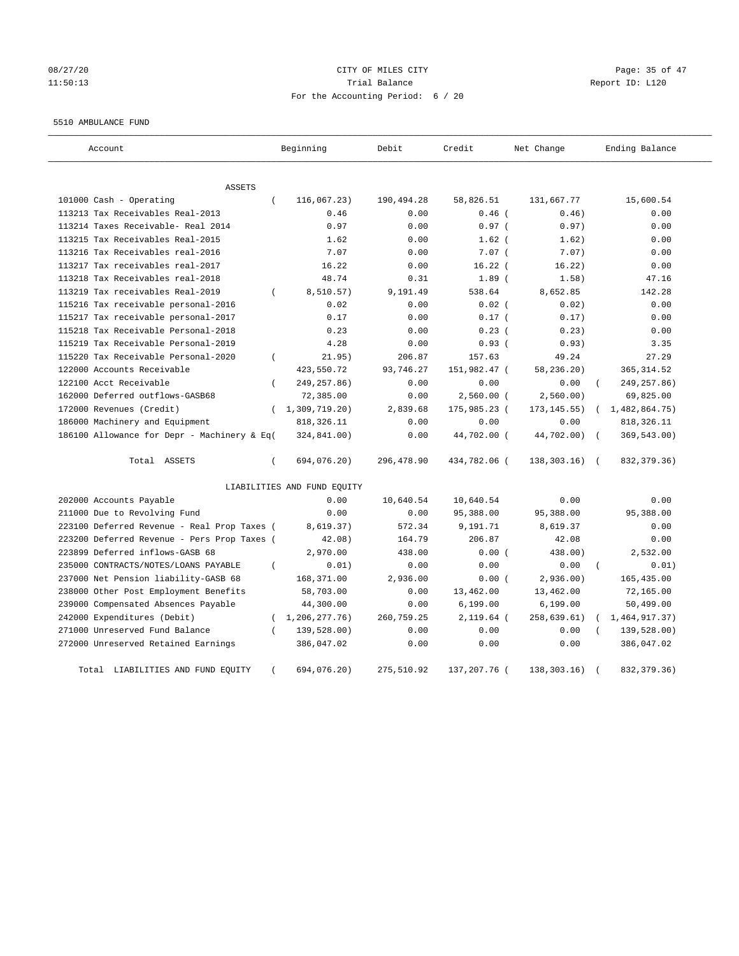# 08/27/20 Page: 35 of 47 11:50:13 Trial Balance Report ID: L120 For the Accounting Period: 6 / 20

#### 5510 AMBULANCE FUND

| Account                                     |          | Beginning                   | Debit      | Credit       | Net Change     |          | Ending Balance |
|---------------------------------------------|----------|-----------------------------|------------|--------------|----------------|----------|----------------|
| <b>ASSETS</b>                               |          |                             |            |              |                |          |                |
| 101000 Cash - Operating                     | $\left($ | 116,067.23)                 | 190,494.28 | 58,826.51    | 131,667.77     |          | 15,600.54      |
| 113213 Tax Receivables Real-2013            |          | 0.46                        | 0.00       | $0.46$ (     | 0.46)          |          | 0.00           |
| 113214 Taxes Receivable- Real 2014          |          | 0.97                        | 0.00       | 0.97(        | 0.97)          |          | 0.00           |
| 113215 Tax Receivables Real-2015            |          | 1.62                        | 0.00       | $1.62$ (     | 1.62)          |          | 0.00           |
| 113216 Tax Receivables real-2016            |          | 7.07                        | 0.00       | $7.07$ (     | 7.07)          |          | 0.00           |
| 113217 Tax receivables real-2017            |          | 16.22                       | 0.00       | $16.22$ (    | 16.22)         |          | 0.00           |
| 113218 Tax Receivables real-2018            |          | 48.74                       | 0.31       | 1.89(        | 1.58)          |          | 47.16          |
| 113219 Tax receivables Real-2019            | $\left($ | 8,510.57)                   | 9,191.49   | 538.64       | 8,652.85       |          | 142.28         |
| 115216 Tax receivable personal-2016         |          | 0.02                        | 0.00       | $0.02$ $($   | 0.02)          |          | 0.00           |
| 115217 Tax receivable personal-2017         |          | 0.17                        | 0.00       | 0.17(        | 0.17)          |          | 0.00           |
| 115218 Tax Receivable Personal-2018         |          | 0.23                        | 0.00       | $0.23$ (     | 0.23)          |          | 0.00           |
| 115219 Tax Receivable Personal-2019         |          | 4.28                        | 0.00       | 0.93(        | 0.93)          |          | 3.35           |
| 115220 Tax Receivable Personal-2020         | $\left($ | 21.95)                      | 206.87     | 157.63       | 49.24          |          | 27.29          |
| 122000 Accounts Receivable                  |          | 423,550.72                  | 93,746.27  | 151,982.47 ( | 58,236.20)     |          | 365, 314.52    |
| 122100 Acct Receivable                      | $\left($ | 249, 257.86)                | 0.00       | 0.00         | 0.00           | $\left($ | 249, 257.86)   |
| 162000 Deferred outflows-GASB68             |          | 72,385.00                   | 0.00       | $2,560.00$ ( | 2,560.00)      |          | 69,825.00      |
| 172000 Revenues (Credit)                    | $\left($ | 1,309,719.20)               | 2,839.68   | 175,985.23 ( | 173, 145.55)   |          | 1,482,864.75)  |
| 186000 Machinery and Equipment              |          | 818, 326.11                 | 0.00       | 0.00         | 0.00           |          | 818, 326.11    |
| 186100 Allowance for Depr - Machinery & Eq( |          | 324,841.00)                 | 0.00       | 44,702.00 (  | 44,702.00)     |          | 369,543.00)    |
| Total ASSETS                                | $\left($ | 694,076.20)                 | 296,478.90 | 434,782.06 ( | $138,303.16$ ( |          | 832, 379. 36)  |
|                                             |          | LIABILITIES AND FUND EQUITY |            |              |                |          |                |
| 202000 Accounts Payable                     |          | 0.00                        | 10,640.54  | 10,640.54    | 0.00           |          | 0.00           |
| 211000 Due to Revolving Fund                |          | 0.00                        | 0.00       | 95,388.00    | 95,388.00      |          | 95,388.00      |
| 223100 Deferred Revenue - Real Prop Taxes ( |          | 8,619.37)                   | 572.34     | 9,191.71     | 8,619.37       |          | 0.00           |
| 223200 Deferred Revenue - Pers Prop Taxes ( |          | 42.08)                      | 164.79     | 206.87       | 42.08          |          | 0.00           |
| 223899 Deferred inflows-GASB 68             |          | 2,970.00                    | 438.00     | 0.00(        | 438.00)        |          | 2,532.00       |
| 235000 CONTRACTS/NOTES/LOANS PAYABLE        | $\left($ | 0.01)                       | 0.00       | 0.00         | 0.00           |          | 0.01)          |
| 237000 Net Pension liability-GASB 68        |          | 168,371.00                  | 2,936.00   | 0.00(        | 2,936.00)      |          | 165,435.00     |
| 238000 Other Post Employment Benefits       |          | 58,703.00                   | 0.00       | 13,462.00    | 13,462.00      |          | 72,165.00      |
| 239000 Compensated Absences Payable         |          | 44,300.00                   | 0.00       | 6, 199.00    | 6, 199.00      |          | 50,499.00      |
| 242000 Expenditures (Debit)                 |          | (1, 206, 277, 76)           | 260,759.25 | $2,119.64$ ( | 258, 639.61)   |          | 1,464,917.37)  |
| 271000 Unreserved Fund Balance              | $\left($ | 139,528.00)                 | 0.00       | 0.00         | 0.00           |          | 139,528.00)    |
| 272000 Unreserved Retained Earnings         |          | 386,047.02                  | 0.00       | 0.00         | 0.00           |          | 386,047.02     |
| Total LIABILITIES AND FUND EQUITY           | $\left($ | 694,076.20)                 | 275,510.92 | 137,207.76 ( | 138, 303. 16)  |          | 832, 379. 36)  |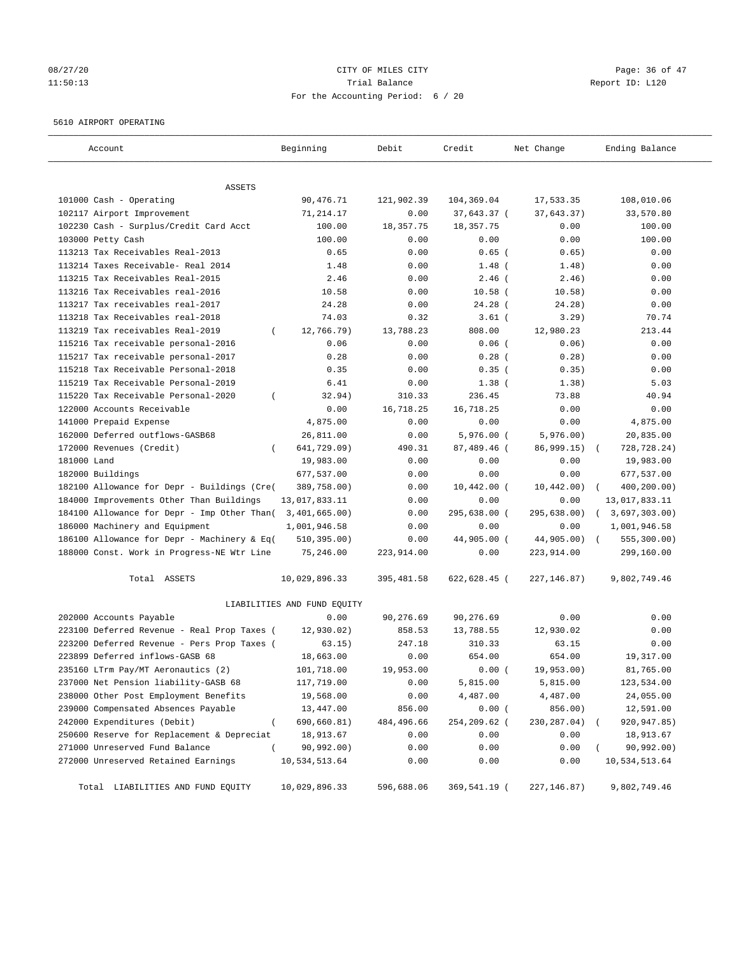# 08/27/20 Page: 36 of 47 11:50:13 Channel Balance Trial Balance Report ID: L120 For the Accounting Period: 6 / 20

#### 5610 AIRPORT OPERATING

| Account                                      | Beginning                   | Debit                           | Credit        | Net Change   | Ending Balance               |
|----------------------------------------------|-----------------------------|---------------------------------|---------------|--------------|------------------------------|
| ASSETS                                       |                             |                                 |               |              |                              |
| 101000 Cash - Operating                      | 90,476.71                   | 121,902.39                      | 104,369.04    | 17,533.35    | 108,010.06                   |
| 102117 Airport Improvement                   | 71,214.17                   | 0.00                            | 37,643.37 (   | 37,643.37)   | 33,570.80                    |
| 102230 Cash - Surplus/Credit Card Acct       | 100.00                      | 18,357.75                       | 18, 357. 75   | 0.00         | 100.00                       |
| 103000 Petty Cash                            | 100.00                      | 0.00                            | 0.00          | 0.00         | 100.00                       |
| 113213 Tax Receivables Real-2013             | 0.65                        | 0.00                            | $0.65$ (      | 0.65)        | 0.00                         |
| 113214 Taxes Receivable- Real 2014           | 1.48                        | 0.00                            | $1.48$ (      | 1.48)        | 0.00                         |
| 113215 Tax Receivables Real-2015             | 2.46                        | 0.00                            | $2.46$ (      | 2.46)        | 0.00                         |
| 113216 Tax Receivables real-2016             | 10.58                       | 0.00                            | $10.58$ (     | 10.58)       | 0.00                         |
| 113217 Tax receivables real-2017             | 24.28                       | 0.00                            | $24.28$ (     | 24.28)       | 0.00                         |
| 113218 Tax Receivables real-2018             | 74.03                       | 0.32                            | $3.61$ (      | 3.29)        | 70.74                        |
| 113219 Tax receivables Real-2019<br>$\left($ | 12,766.79)                  | 13,788.23                       | 808.00        | 12,980.23    | 213.44                       |
| 115216 Tax receivable personal-2016          | 0.06                        | 0.00                            | $0.06$ (      | 0.06)        | 0.00                         |
| 115217 Tax receivable personal-2017          | 0.28                        | 0.00                            | $0.28$ (      | 0.28)        | 0.00                         |
| 115218 Tax Receivable Personal-2018          | 0.35                        | 0.00                            | 0.35(         | 0.35)        | 0.00                         |
| 115219 Tax Receivable Personal-2019          | 6.41                        | 0.00                            | $1.38$ (      | 1.38)        | 5.03                         |
| 115220 Tax Receivable Personal-2020          | 32.94)                      | 310.33                          | 236.45        | 73.88        | 40.94                        |
| 122000 Accounts Receivable                   | 0.00                        | 16,718.25                       | 16,718.25     | 0.00         | 0.00                         |
| 141000 Prepaid Expense                       | 4,875.00                    | 0.00                            | 0.00          | 0.00         | 4,875.00                     |
| 162000 Deferred outflows-GASB68              | 26,811.00                   | 0.00                            | $5,976.00$ (  | 5,976.00)    | 20,835.00                    |
| 172000 Revenues (Credit)<br>$\left($         | 641,729.09)                 | 490.31                          | 87,489.46 (   | 86,999.15)   | 728,728.24)                  |
| 181000 Land                                  | 19,983.00                   | 0.00                            | 0.00          | 0.00         | 19,983.00                    |
| 182000 Buildings                             | 677,537.00                  | 0.00                            | 0.00          | 0.00         | 677,537.00                   |
| 182100 Allowance for Depr - Buildings (Cre(  | 389,758.00)                 | 0.00                            | $10,442.00$ ( | 10,442.00)   |                              |
| 184000 Improvements Other Than Buildings     | 13,017,833.11               | 0.00                            | 0.00          | 0.00         | 400,200.00)<br>13,017,833.11 |
|                                              |                             |                                 | 295,638.00 (  |              |                              |
| 184100 Allowance for Depr - Imp Other Than(  | 3,401,665.00)               | 0.00                            | 0.00          | 295,638.00)  | 3,697,303.00)<br>$\left($    |
| 186000 Machinery and Equipment               | 1,001,946.58                | 0.00                            |               | 0.00         | 1,001,946.58                 |
| 186100 Allowance for Depr - Machinery & Eq(  | 510, 395.00)                | 0.00                            | 44,905.00 (   | 44,905.00) ( | 555,300.00)                  |
| 188000 Const. Work in Progress-NE Wtr Line   | 75,246.00                   | 223,914.00                      | 0.00          | 223,914.00   | 299,160.00                   |
| Total ASSETS                                 | 10,029,896.33               | 395, 481.58                     | 622,628.45 (  | 227, 146.87) | 9,802,749.46                 |
|                                              | LIABILITIES AND FUND EQUITY |                                 |               |              |                              |
| 202000 Accounts Payable                      | 0.00                        | 90,276.69                       | 90,276.69     | 0.00         | 0.00                         |
| 223100 Deferred Revenue - Real Prop Taxes (  | 12,930.02)                  | 858.53                          | 13,788.55     | 12,930.02    | 0.00                         |
| 223200 Deferred Revenue - Pers Prop Taxes (  | 63.15)                      | 247.18                          | 310.33        | 63.15        | 0.00                         |
| 223899 Deferred inflows-GASB 68              | 18,663.00                   | 0.00                            | 654.00        | 654.00       | 19,317.00                    |
| 235160 LTrm Pay/MT Aeronautics (2)           | 101,718.00                  | 19,953.00                       | 0.00(         | 19,953.00)   | 81,765.00                    |
| 237000 Net Pension liability-GASB 68         | 117,719.00                  | ${\bf 0}$ . ${\bf 0}$ ${\bf 0}$ | 5,815.00      | 5,815.00     | 123,534.00                   |
| 238000 Other Post Employment Benefits        | 19,568.00                   | 0.00                            | 4,487.00      | 4,487.00     | 24,055.00                    |
| 239000 Compensated Absences Payable          | 13,447.00                   | 856.00                          | 0.00(         | 856.00)      | 12,591.00                    |
| 242000 Expenditures (Debit)<br>$\left($      | 690,660.81)                 | 484,496.66                      | 254,209.62 (  | 230,287.04)  | 920,947.85)                  |
| 250600 Reserve for Replacement & Depreciat   | 18,913.67                   | 0.00                            | 0.00          | 0.00         | 18,913.67                    |
| 271000 Unreserved Fund Balance               | 90,992.00)                  | 0.00                            | 0.00          | 0.00         | 90,992.00)                   |
| 272000 Unreserved Retained Earnings          | 10,534,513.64               | 0.00                            | 0.00          | 0.00         | 10,534,513.64                |
| Total LIABILITIES AND FUND EQUITY            | 10,029,896.33               | 596,688.06                      | 369,541.19 (  | 227, 146.87) | 9,802,749.46                 |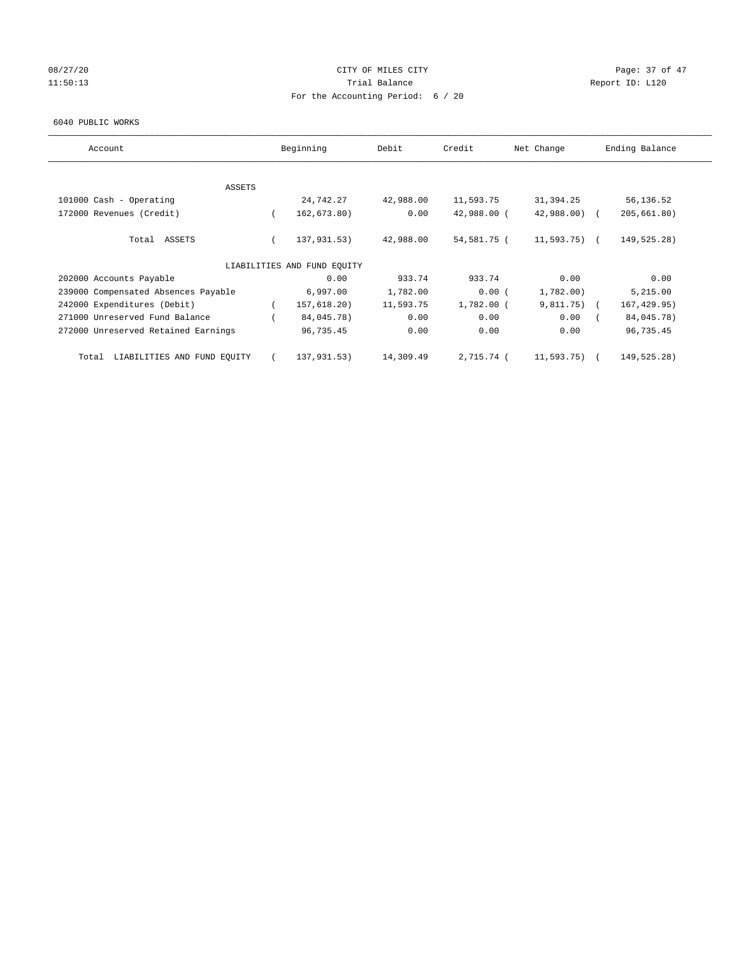# 08/27/20 Page: 37 of 47 11:50:13 Channel Balance Trial Balance Report ID: L120 For the Accounting Period: 6 / 20

#### 6040 PUBLIC WORKS

| Account                              | Beginning                   | Debit     | Credit       | Net Change    | Ending Balance |
|--------------------------------------|-----------------------------|-----------|--------------|---------------|----------------|
|                                      |                             |           |              |               |                |
| ASSETS<br>101000 Cash - Operating    | 24,742.27                   | 42,988.00 | 11,593.75    | 31,394.25     | 56,136.52      |
|                                      |                             |           |              |               |                |
| 172000 Revenues (Credit)             | 162, 673.80)                | 0.00      | 42,988.00 (  | 42,988.00) (  | 205, 661.80)   |
| Total ASSETS                         | 137,931.53)                 | 42,988.00 | 54,581.75 (  | 11,593.75) (  | 149,525.28)    |
|                                      | LIABILITIES AND FUND EQUITY |           |              |               |                |
| 202000 Accounts Payable              | 0.00                        | 933.74    | 933.74       | 0.00          | 0.00           |
| 239000 Compensated Absences Payable  | 6,997.00                    | 1,782.00  | 0.00(        | 1,782.00)     | 5,215.00       |
| 242000 Expenditures (Debit)          | 157,618.20)                 | 11,593.75 | $1,782.00$ ( | $9,811.75)$ ( | 167, 429.95)   |
| 271000 Unreserved Fund Balance       | 84,045.78)                  | 0.00      | 0.00         | 0.00          | 84,045.78)     |
| 272000 Unreserved Retained Earnings  | 96,735.45                   | 0.00      | 0.00         | 0.00          | 96,735.45      |
| LIABILITIES AND FUND EQUITY<br>Total | 137,931.53)                 | 14,309.49 | 2,715.74 (   | 11,593.75)    | 149,525.28)    |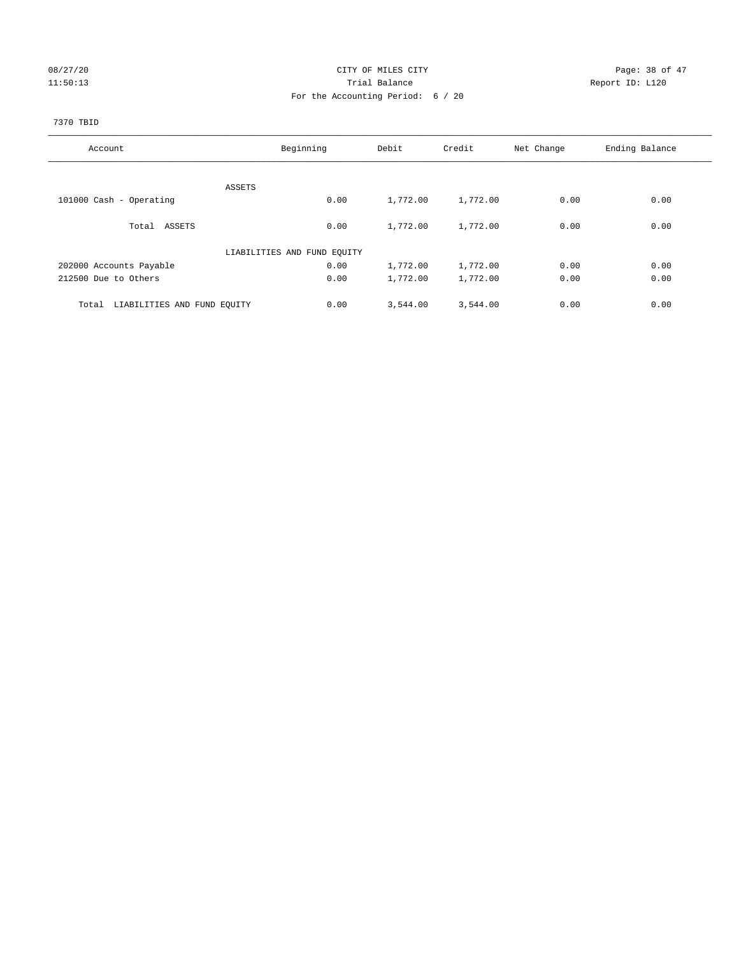# 08/27/20 Page: 38 of 47 11:50:13 Report ID: L120 For the Accounting Period: 6 / 20

#### 7370 TBID

| Account                              | Beginning                   | Debit    | Credit   | Net Change | Ending Balance |
|--------------------------------------|-----------------------------|----------|----------|------------|----------------|
|                                      |                             |          |          |            |                |
|                                      | ASSETS                      |          |          |            |                |
| 101000 Cash - Operating              | 0.00                        | 1,772.00 | 1,772.00 | 0.00       | 0.00           |
| Total ASSETS                         | 0.00                        | 1,772.00 | 1,772.00 | 0.00       | 0.00           |
|                                      | LIABILITIES AND FUND EQUITY |          |          |            |                |
| 202000 Accounts Payable              | 0.00                        | 1,772.00 | 1,772.00 | 0.00       | 0.00           |
| 212500 Due to Others                 | 0.00                        | 1,772.00 | 1,772.00 | 0.00       | 0.00           |
| LIABILITIES AND FUND EQUITY<br>Total | 0.00                        | 3,544.00 | 3,544.00 | 0.00       | 0.00           |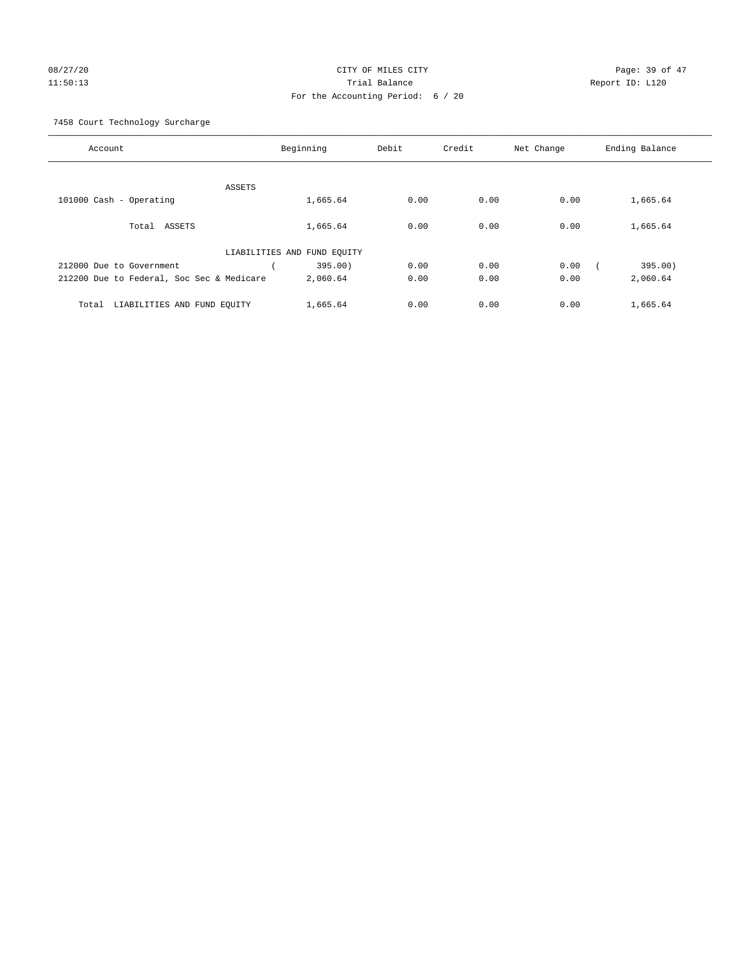# 08/27/20 Page: 39 of 47 11:50:13 Trial Balance Report ID: L120 For the Accounting Period: 6 / 20

7458 Court Technology Surcharge

| Account                                   | Beginning                   | Debit | Credit | Net Change | Ending Balance |
|-------------------------------------------|-----------------------------|-------|--------|------------|----------------|
|                                           |                             |       |        |            |                |
| ASSETS                                    |                             |       |        |            |                |
| 101000 Cash - Operating                   | 1,665.64                    | 0.00  | 0.00   | 0.00       | 1,665.64       |
|                                           |                             |       |        |            |                |
| Total ASSETS                              | 1,665.64                    | 0.00  | 0.00   | 0.00       | 1,665.64       |
|                                           |                             |       |        |            |                |
|                                           | LIABILITIES AND FUND EQUITY |       |        |            |                |
| 212000 Due to Government                  | 395.00)                     | 0.00  | 0.00   | 0.00       | 395.00)        |
| 212200 Due to Federal, Soc Sec & Medicare | 2,060.64                    | 0.00  | 0.00   | 0.00       | 2,060.64       |
|                                           |                             |       |        |            |                |
| LIABILITIES AND FUND EQUITY<br>Total      | 1,665.64                    | 0.00  | 0.00   | 0.00       | 1,665.64       |
|                                           |                             |       |        |            |                |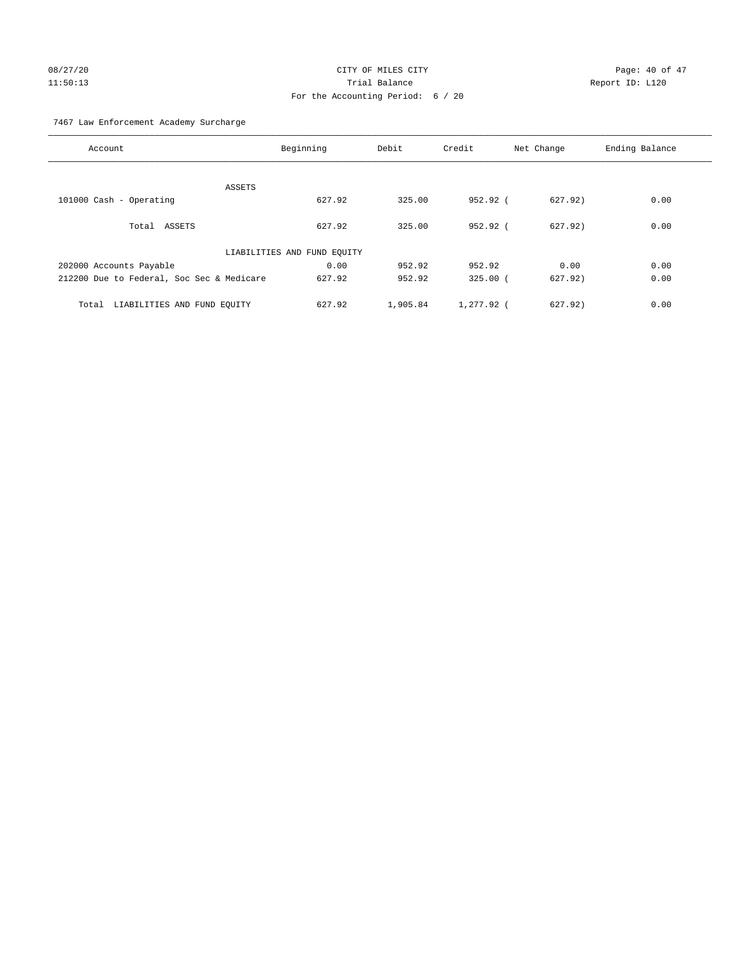# 08/27/20 Page: 40 of 47 11:50:13 Trial Balance Report ID: L120 For the Accounting Period: 6 / 20

7467 Law Enforcement Academy Surcharge

| Account                                   | Beginning                   | Debit    | Credit     | Net Change | Ending Balance |
|-------------------------------------------|-----------------------------|----------|------------|------------|----------------|
|                                           |                             |          |            |            |                |
| ASSETS                                    |                             |          |            |            |                |
| 101000 Cash - Operating                   | 627.92                      | 325.00   | $952.92$ ( | 627.92)    | 0.00           |
|                                           |                             |          |            |            |                |
| Total ASSETS                              | 627.92                      | 325.00   | $952.92$ ( | 627.92)    | 0.00           |
|                                           |                             |          |            |            |                |
|                                           | LIABILITIES AND FUND EQUITY |          |            |            |                |
| 202000 Accounts Payable                   | 0.00                        | 952.92   | 952.92     | 0.00       | 0.00           |
| 212200 Due to Federal, Soc Sec & Medicare | 627.92                      | 952.92   | $325.00$ ( | 627.92)    | 0.00           |
|                                           |                             |          |            |            |                |
| LIABILITIES AND FUND EQUITY<br>Total      | 627.92                      | 1,905.84 | 1,277.92 ( | 627.92)    | 0.00           |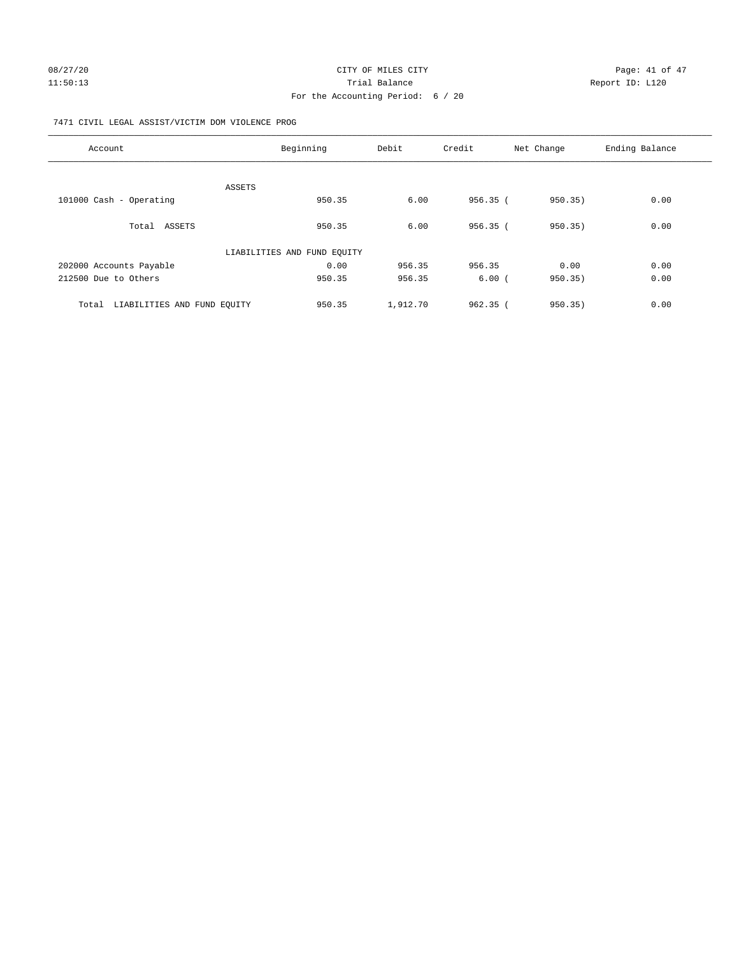# 11:50:13 Channel Balance Trial Balance Report ID: L120 For the Accounting Period: 6 / 20

#### 7471 CIVIL LEGAL ASSIST/VICTIM DOM VIOLENCE PROG

| Account                              | Beginning                   | Debit    | Credit     | Net Change | Ending Balance |
|--------------------------------------|-----------------------------|----------|------------|------------|----------------|
|                                      |                             |          |            |            |                |
|                                      | ASSETS                      |          |            |            |                |
| 101000 Cash - Operating              | 950.35                      | 6.00     | 956.35(    | 950.35)    | 0.00           |
| Total ASSETS                         | 950.35                      | 6.00     | 956.35(    | 950.35)    | 0.00           |
|                                      | LIABILITIES AND FUND EQUITY |          |            |            |                |
| 202000 Accounts Payable              | 0.00                        | 956.35   | 956.35     | 0.00       | 0.00           |
| 212500 Due to Others                 | 950.35                      | 956.35   | 6.00(      | 950.35)    | 0.00           |
| LIABILITIES AND FUND EQUITY<br>Total | 950.35                      | 1,912.70 | $962.35$ ( | 950.35)    | 0.00           |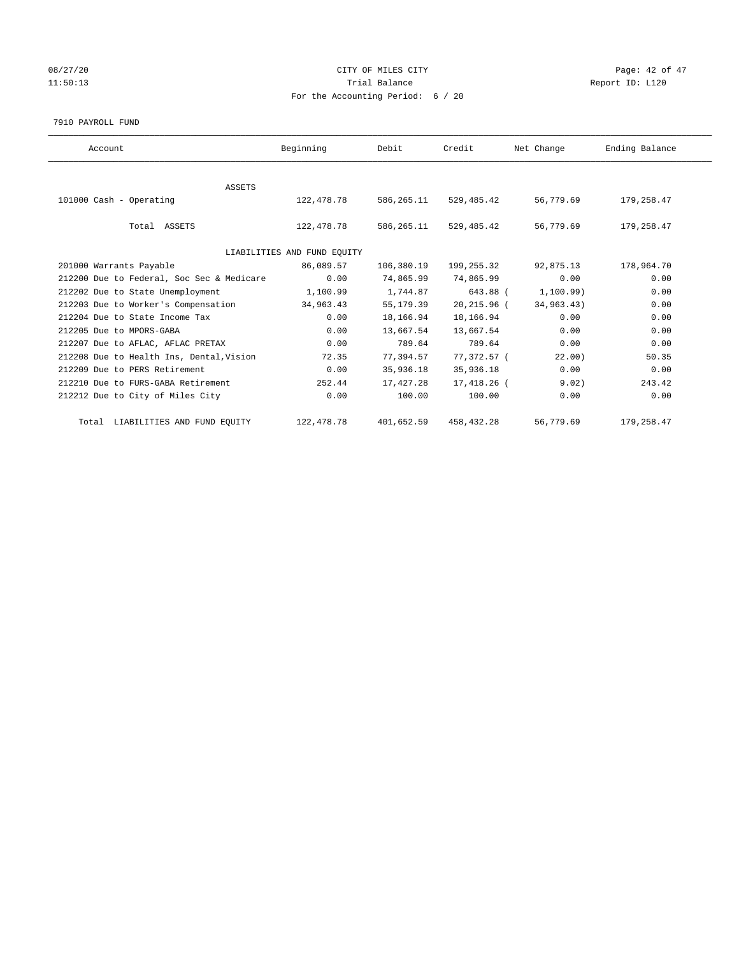# 08/27/20 Page: 42 of 47 11:50:13 Report ID: L120 For the Accounting Period: 6 / 20

#### 7910 PAYROLL FUND

| Account                                   | Beginning                   | Debit      | Credit      | Net Change | Ending Balance |
|-------------------------------------------|-----------------------------|------------|-------------|------------|----------------|
|                                           |                             |            |             |            |                |
| ASSETS                                    |                             |            |             |            |                |
| 101000 Cash - Operating                   | 122,478.78                  | 586,265.11 | 529,485.42  | 56,779.69  | 179,258.47     |
| Total ASSETS                              | 122,478.78                  | 586,265.11 | 529, 485.42 | 56,779.69  | 179,258.47     |
|                                           | LIABILITIES AND FUND EQUITY |            |             |            |                |
| 201000 Warrants Payable                   | 86,089.57                   | 106,380.19 | 199,255.32  | 92,875.13  | 178,964.70     |
| 212200 Due to Federal, Soc Sec & Medicare | 0.00                        | 74,865.99  | 74,865.99   | 0.00       | 0.00           |
| 212202 Due to State Unemployment          | 1,100.99                    | 1,744.87   | 643.88 (    | 1,100.99)  | 0.00           |
| 212203 Due to Worker's Compensation       | 34,963.43                   | 55,179.39  | 20,215.96 ( | 34,963.43) | 0.00           |
| 212204 Due to State Income Tax            | 0.00                        | 18,166.94  | 18,166.94   | 0.00       | 0.00           |
| 212205 Due to MPORS-GABA                  | 0.00                        | 13,667.54  | 13,667.54   | 0.00       | 0.00           |
| 212207 Due to AFLAC, AFLAC PRETAX         | 0.00                        | 789.64     | 789.64      | 0.00       | 0.00           |
| 212208 Due to Health Ins, Dental, Vision  | 72.35                       | 77.394.57  | 77,372.57 ( | 22.00      | 50.35          |
| 212209 Due to PERS Retirement             | 0.00                        | 35,936.18  | 35,936.18   | 0.00       | 0.00           |
| 212210 Due to FURS-GABA Retirement        | 252.44                      | 17,427.28  | 17,418.26 ( | 9.02)      | 243.42         |
| 212212 Due to City of Miles City          | 0.00                        | 100.00     | 100.00      | 0.00       | 0.00           |
| Total LIABILITIES AND FUND EQUITY         | 122, 478.78                 | 401,652.59 | 458, 432.28 | 56,779.69  | 179,258.47     |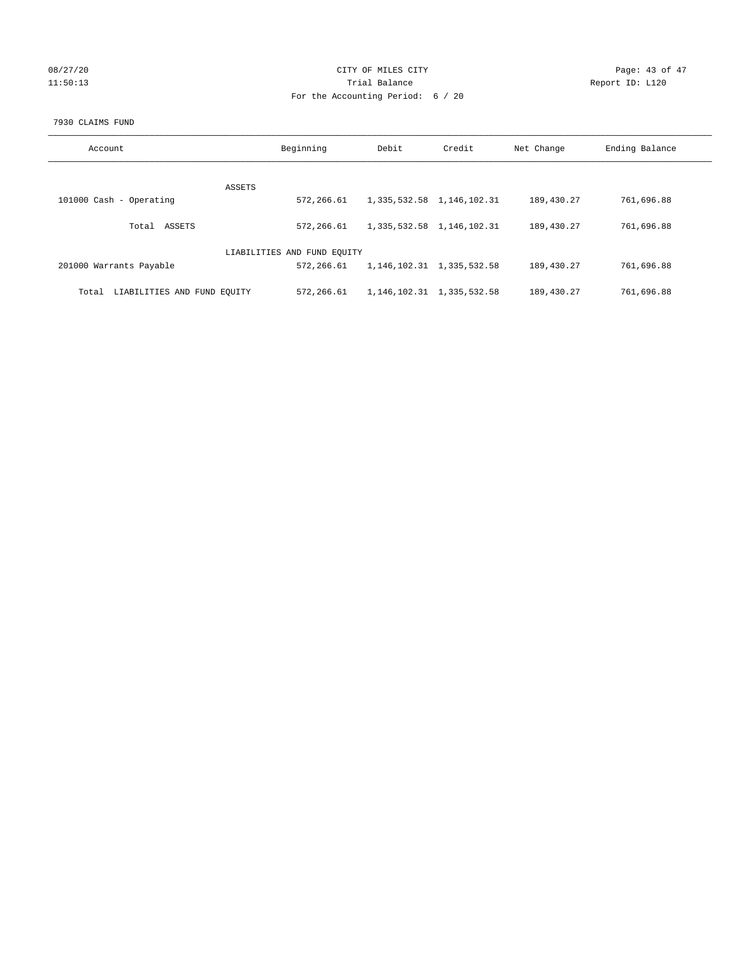# 08/27/20 Page: 43 of 47 11:50:13 Report ID: L120 For the Accounting Period: 6 / 20

#### 7930 CLAIMS FUND

| Account                              | Beginning                   | Debit                         | Credit                          | Net Change | Ending Balance |
|--------------------------------------|-----------------------------|-------------------------------|---------------------------------|------------|----------------|
| ASSETS                               |                             |                               |                                 |            |                |
| 101000 Cash - Operating              | 572,266.61                  |                               | 1, 335, 532.58 1, 146, 102.31   | 189,430.27 | 761,696.88     |
| ASSETS<br>Total                      | 572,266.61                  | 1, 335, 532.58 1, 146, 102.31 |                                 | 189,430.27 | 761,696.88     |
|                                      | LIABILITIES AND FUND EQUITY |                               |                                 |            |                |
| 201000 Warrants Payable              | 572,266.61                  |                               | 1, 146, 102. 31 1, 335, 532. 58 | 189,430.27 | 761,696.88     |
| LIABILITIES AND FUND EQUITY<br>Total | 572,266.61                  |                               | 1, 146, 102. 31 1, 335, 532. 58 | 189,430.27 | 761,696.88     |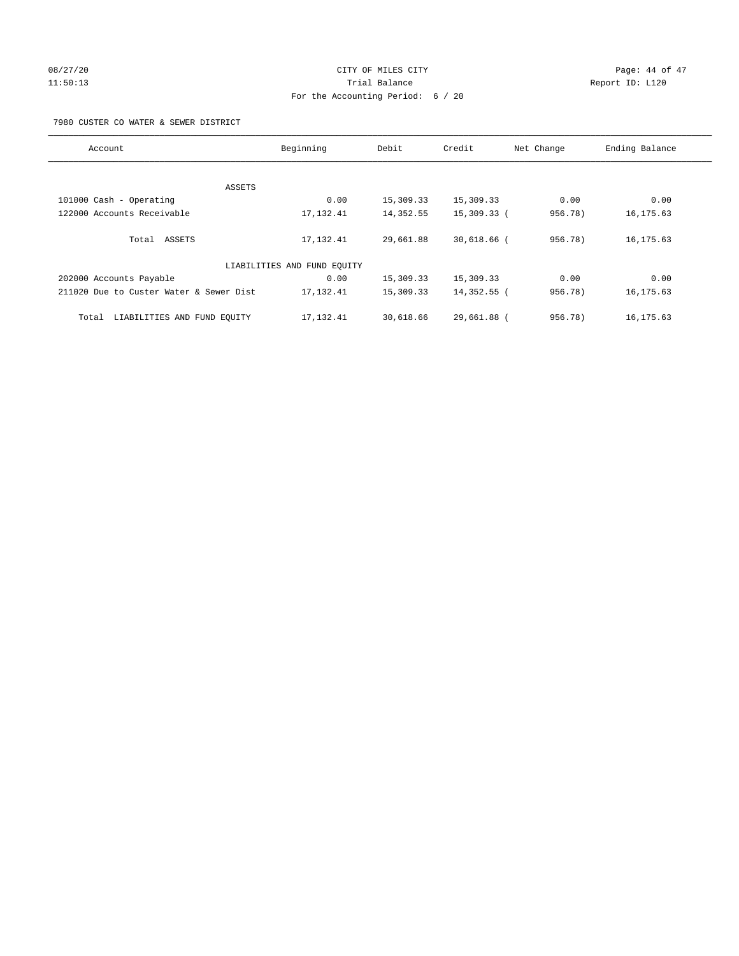# 08/27/20 Page: 44 of 47 11:50:13 Report ID: L120 For the Accounting Period: 6 / 20

#### 7980 CUSTER CO WATER & SEWER DISTRICT

| Account                                 | Beginning                   | Debit     | Credit        | Net Change | Ending Balance |
|-----------------------------------------|-----------------------------|-----------|---------------|------------|----------------|
|                                         |                             |           |               |            |                |
|                                         | ASSETS                      |           |               |            |                |
| 101000 Cash - Operating                 | 0.00                        | 15,309.33 | 15,309.33     | 0.00       | 0.00           |
| 122000 Accounts Receivable              | 17,132.41                   | 14,352.55 | 15,309.33 (   | 956.78)    | 16, 175.63     |
|                                         |                             |           |               |            |                |
| Total ASSETS                            | 17, 132.41                  | 29,661.88 | $30,618.66$ ( | 956.78)    | 16, 175.63     |
|                                         |                             |           |               |            |                |
|                                         | LIABILITIES AND FUND EQUITY |           |               |            |                |
| 202000 Accounts Payable                 | 0.00                        | 15,309.33 | 15,309.33     | 0.00       | 0.00           |
| 211020 Due to Custer Water & Sewer Dist | 17,132.41                   | 15,309.33 | 14,352.55 (   | 956.78)    | 16, 175.63     |
|                                         |                             |           |               |            |                |
| LIABILITIES AND FUND EQUITY<br>Total    | 17,132.41                   | 30,618.66 | 29,661.88 (   | 956.78)    | 16, 175.63     |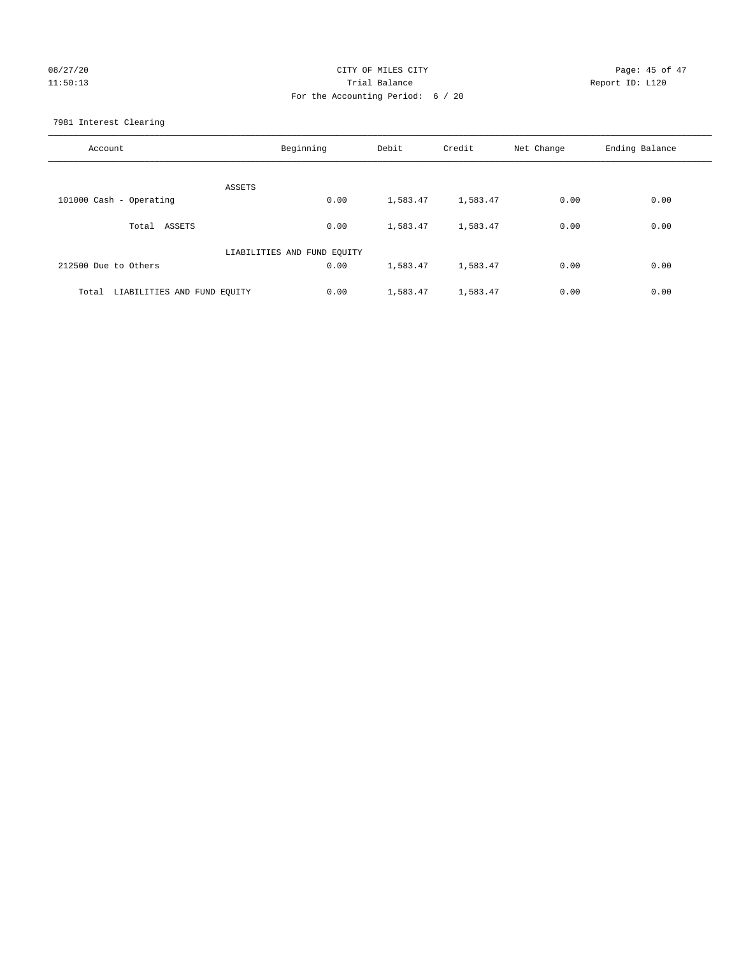# 08/27/20 Page: 45 of 47 11:50:13 Trial Balance Report ID: L120 For the Accounting Period: 6 / 20

7981 Interest Clearing

| Account                              | Beginning                   | Debit    | Credit   | Net Change | Ending Balance |
|--------------------------------------|-----------------------------|----------|----------|------------|----------------|
|                                      | <b>ASSETS</b>               |          |          |            |                |
| 101000 Cash - Operating              | 0.00                        | 1,583.47 | 1,583.47 | 0.00       | 0.00           |
| Total ASSETS                         | 0.00                        | 1,583.47 | 1,583.47 | 0.00       | 0.00           |
|                                      | LIABILITIES AND FUND EQUITY |          |          |            |                |
| 212500 Due to Others                 | 0.00                        | 1,583.47 | 1,583.47 | 0.00       | 0.00           |
| LIABILITIES AND FUND EQUITY<br>Total | 0.00                        | 1,583.47 | 1,583.47 | 0.00       | 0.00           |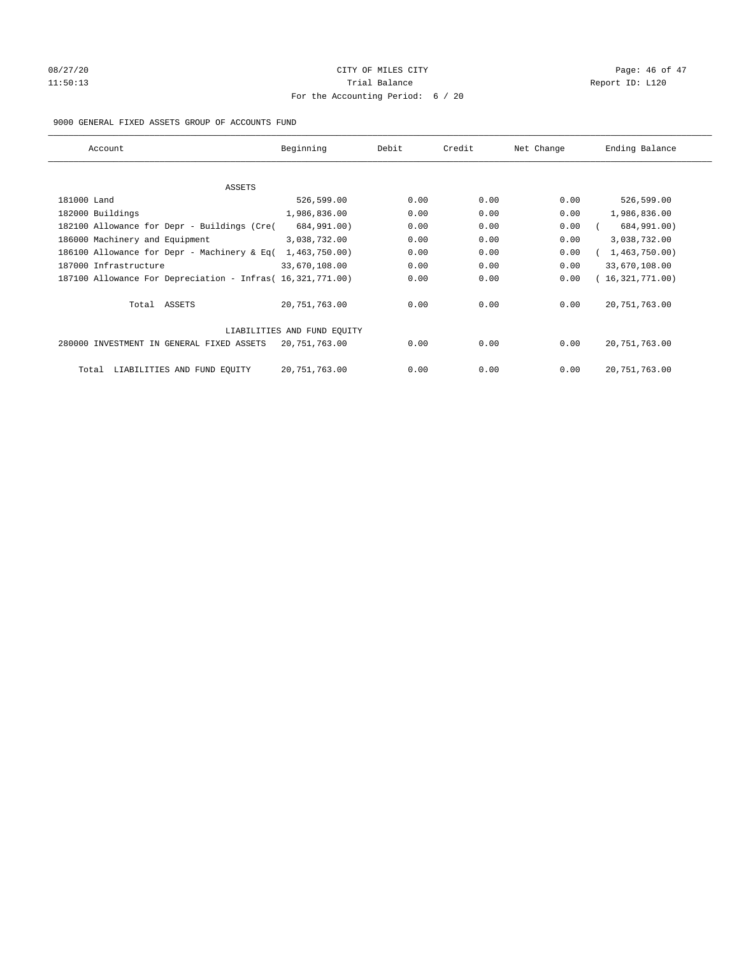# 08/27/20 Page: 46 of 47 11:50:13 Report ID: L120 For the Accounting Period: 6 / 20

#### 9000 GENERAL FIXED ASSETS GROUP OF ACCOUNTS FUND

| Account                                                    | Beginning                   | Debit | Credit | Net Change | Ending Balance  |
|------------------------------------------------------------|-----------------------------|-------|--------|------------|-----------------|
| ASSETS                                                     |                             |       |        |            |                 |
| 181000 Land                                                | 526,599.00                  | 0.00  | 0.00   | 0.00       | 526,599.00      |
| 182000 Buildings                                           | 1,986,836.00                | 0.00  | 0.00   | 0.00       | 1,986,836.00    |
| 182100 Allowance for Depr - Buildings (Cre(                | 684,991.00)                 | 0.00  | 0.00   | 0.00       | 684,991.00)     |
| 186000 Machinery and Equipment                             | 3,038,732.00                | 0.00  | 0.00   | 0.00       | 3,038,732.00    |
| 186100 Allowance for Depr - Machinery & Eq(                | 1,463,750.00)               | 0.00  | 0.00   | 0.00       | 1,463,750.00)   |
| 187000 Infrastructure                                      | 33,670,108.00               | 0.00  | 0.00   | 0.00       | 33,670,108.00   |
| 187100 Allowance For Depreciation - Infras( 16,321,771.00) |                             | 0.00  | 0.00   | 0.00       | 16,321,771.00)  |
| Total ASSETS                                               | 20,751,763.00               | 0.00  | 0.00   | 0.00       | 20, 751, 763.00 |
|                                                            | LIABILITIES AND FUND EQUITY |       |        |            |                 |
| 280000 INVESTMENT IN GENERAL FIXED ASSETS                  | 20,751,763.00               | 0.00  | 0.00   | 0.00       | 20, 751, 763.00 |
| LIABILITIES AND FUND EQUITY<br>Total                       | 20, 751, 763.00             | 0.00  | 0.00   | 0.00       | 20, 751, 763.00 |